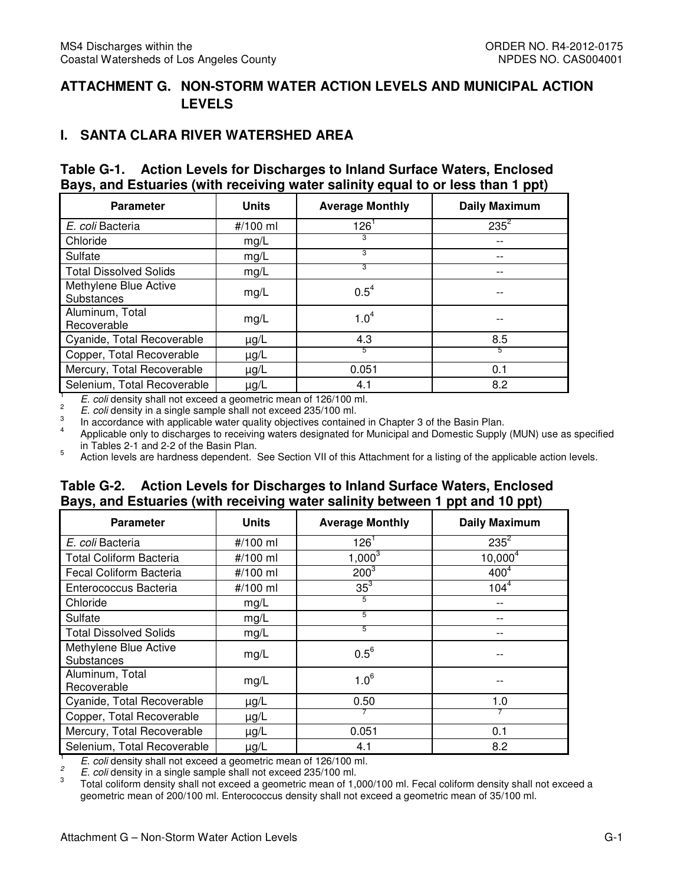## **ATTACHMENT G. NON-STORM WATER ACTION LEVELS AND MUNICIPAL ACTION LEVELS**

#### **I. SANTA CLARA RIVER WATERSHED AREA**

#### **Table G-1. Action Levels for Discharges to Inland Surface Waters, Enclosed Bays, and Estuaries (with receiving water salinity equal to or less than 1 ppt)**

| <b>Parameter</b>                    | <b>Units</b> | <b>Average Monthly</b> | <b>Daily Maximum</b> |
|-------------------------------------|--------------|------------------------|----------------------|
| E. coli Bacteria                    | #/100 ml     | $126^1$                | $235^2$              |
| Chloride                            | mg/L         | 3                      | --                   |
| Sulfate                             | mg/L         | 3                      | --                   |
| <b>Total Dissolved Solids</b>       | mg/L         | 3                      | --                   |
| Methylene Blue Active<br>Substances | mg/L         | $0.5^4$                |                      |
| Aluminum, Total<br>Recoverable      | mg/L         | 1.0 <sup>4</sup>       | --                   |
| Cyanide, Total Recoverable          | $\mu$ g/L    | 4.3                    | 8.5                  |
| Copper, Total Recoverable           | $\mu$ g/L    | 5                      | 5                    |
| Mercury, Total Recoverable          | $\mu$ g/L    | 0.051                  | 0.1                  |
| Selenium, Total Recoverable         | $\mu$ g/L    | 4.1                    | 8.2                  |

 $\frac{1}{2}$  E. coli density shall not exceed a geometric mean of 126/100 ml.

 $\frac{2}{\pi}$  E. coli density in a single sample shall not exceed 235/100 ml.

 $\frac{3}{4}$ In accordance with applicable water quality objectives contained in Chapter 3 of the Basin Plan.

 $4$  Applicable only to discharges to receiving waters designated for Municipal and Domestic Supply (MUN) use as specified in Tables 2-1 and 2-2 of the Basin Plan.

5 Action levels are hardness dependent. See Section VII of this Attachment for a listing of the applicable action levels.

#### **Table G-2. Action Levels for Discharges to Inland Surface Waters, Enclosed Bays, and Estuaries (with receiving water salinity between 1 ppt and 10 ppt)**

| <b>Parameter</b>                    | <b>Units</b> | <b>Average Monthly</b> | <b>Daily Maximum</b> |
|-------------------------------------|--------------|------------------------|----------------------|
| E. coli Bacteria                    | #/100 ml     | $126^1$                | $235^2$              |
| <b>Total Coliform Bacteria</b>      | #/100 ml     | $1,000^3$              | $10,000^4$           |
| Fecal Coliform Bacteria             | #/100 ml     | $200^{3}$              | 400 <sup>4</sup>     |
| Enterococcus Bacteria               | #/100 ml     | $35^3$                 | $104^{4}$            |
| Chloride                            | mg/L         | 5                      | $- -$                |
| Sulfate                             | mg/L         | 5                      |                      |
| <b>Total Dissolved Solids</b>       | mg/L         | 5                      |                      |
| Methylene Blue Active<br>Substances | mg/L         | $0.5^6$                |                      |
| Aluminum, Total<br>Recoverable      | mg/L         | $1.0^6$                |                      |
| Cyanide, Total Recoverable          | $\mu$ g/L    | 0.50                   | 1.0                  |
| Copper, Total Recoverable           | $\mu$ g/L    |                        |                      |
| Mercury, Total Recoverable          | $\mu$ g/L    | 0.051                  | 0.1                  |
| Selenium, Total Recoverable         | $\mu$ g/L    | 4.1                    | 8.2                  |

 $\frac{1}{2}$  E. coli density shall not exceed a geometric mean of 126/100 ml.

 $\overline{c}$ 2 E. coli density in a single sample shall not exceed 235/100 ml.

3 geometric mean of 200/100 ml. Enterococcus density shall not exceed a geometric mean of 35/100 ml. 3 Total coliform density shall not exceed a geometric mean of 1,000/100 ml. Fecal coliform density shall not exceed a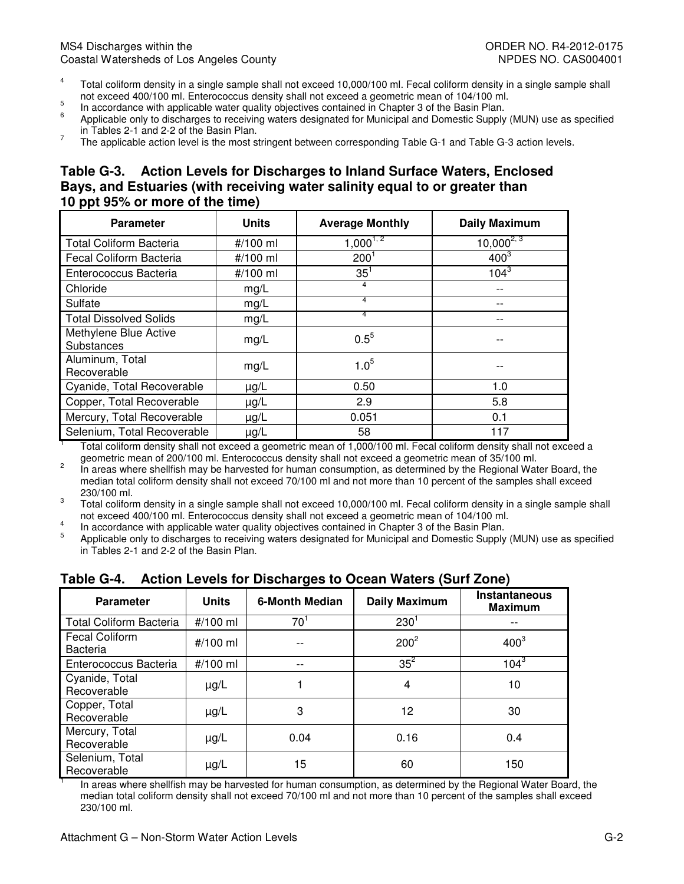- not exceed 400/100 ml. Enterococcus density shall not exceed a geometric mean of 104/100 ml.<br>In accordance with applicable water quality objectives contained in Chapter 3 of the Basin Plan. <sup>4</sup> Total coliform density in a single sample shall not exceed 10,000/100 ml. Fecal coliform density in a single sample shall
- $\frac{5}{6}$
- not exceed 400/100 ml. Enterococcus density shall not exceed a geometric mean of 104/100 ml.<br><sup>5</sup> In accordance with applicable water quality objectives contained in Chapter 3 of the Basin Plan.<br><sup>6</sup> Applicable only in Tables 2-1 and 2-2 of the Basin Plan.
- $\frac{1}{2}$  The applicable action level is the most stringent between corresponding Table G-1 and Table G-3 action levels.

#### **Table G-3. Action Levels for Discharges to Inland Surface Waters, Enclosed Bays, and Estuaries (with receiving water salinity equal to or greater than 10 ppt 95% or more of the time)**

| <b>Parameter</b>                    | <b>Units</b> | <b>Average Monthly</b> | <b>Daily Maximum</b> |
|-------------------------------------|--------------|------------------------|----------------------|
| <b>Total Coliform Bacteria</b>      | #/100 ml     | $1,000^{1,2}$          | $10,000^{2,3}$       |
| Fecal Coliform Bacteria             | #/100 ml     | $200^1$                | $400^3$              |
| Enterococcus Bacteria               | #/100 ml     | $35^1$                 | $104^3$              |
| Chloride                            | mg/L         | 4                      | --                   |
| Sulfate                             | mg/L         | 4                      |                      |
| <b>Total Dissolved Solids</b>       | mg/L         | 4                      | --                   |
| Methylene Blue Active<br>Substances | mg/L         | $0.5^{5}$              |                      |
| Aluminum, Total<br>Recoverable      | mg/L         | $1.0^{5}$              |                      |
| Cyanide, Total Recoverable          | $\mu$ g/L    | 0.50                   | 1.0                  |
| Copper, Total Recoverable           | $\mu$ g/L    | 2.9                    | 5.8                  |
| Mercury, Total Recoverable          | $\mu$ g/L    | 0.051                  | 0.1                  |
| Selenium, Total Recoverable         | $\mu$ g/L    | 58                     | 117                  |

 geometric mean of 200/100 ml. Enterococcus density shall not exceed a geometric mean of 35/100 ml.  $1$  Total coliform density shall not exceed a geometric mean of 1,000/100 ml. Fecal coliform density shall not exceed a

 median total coliform density shall not exceed 70/100 ml and not more than 10 percent of the samples shall exceed <sup>2</sup> In areas where shellfish may be harvested for human consumption, as determined by the Regional Water Board, the 230/100 ml.

 not exceed 400/100 ml. Enterococcus density shall not exceed a geometric mean of 104/100 ml.  $3$  Total coliform density in a single sample shall not exceed 10,000/100 ml. Fecal coliform density in a single sample shall

<sup>4</sup><br>In accordance with applicable water quality objectives contained in Chapter 3 of the Basin Plan.

 $5$  Applicable only to discharges to receiving waters designated for Municipal and Domestic Supply (MUN) use as specified in Tables 2-1 and 2-2 of the Basin Plan.

|                                          |              | ಎ−                    |                      |                                        |
|------------------------------------------|--------------|-----------------------|----------------------|----------------------------------------|
| <b>Parameter</b>                         | <b>Units</b> | <b>6-Month Median</b> | <b>Daily Maximum</b> | <b>Instantaneous</b><br><b>Maximum</b> |
| <b>Total Coliform Bacteria</b>           | #/100 ml     | $70^1$                | 230 <sup>1</sup>     |                                        |
| <b>Fecal Coliform</b><br><b>Bacteria</b> | #/100 ml     |                       | $200^2$              | $400^3$                                |
| Enterococcus Bacteria                    | #/100 ml     |                       | $35^2$               | $104^{3}$                              |
| Cyanide, Total<br>Recoverable            | $\mu$ g/L    |                       | 4                    | 10                                     |
| Copper, Total<br>Recoverable             | $\mu$ g/L    | 3                     | 12                   | 30                                     |
| Mercury, Total<br>Recoverable            | $\mu$ g/L    | 0.04                  | 0.16                 | 0.4                                    |
| Selenium, Total<br>Recoverable           | $\mu$ g/L    | 15                    | 60                   | 150                                    |

#### **Table G-4. Action Levels for Discharges to Ocean Waters (Surf Zone)**

 median total coliform density shall not exceed 70/100 ml and not more than 10 percent of the samples shall exceed In areas where shellfish may be harvested for human consumption, as determined by the Regional Water Board, the 230/100 ml.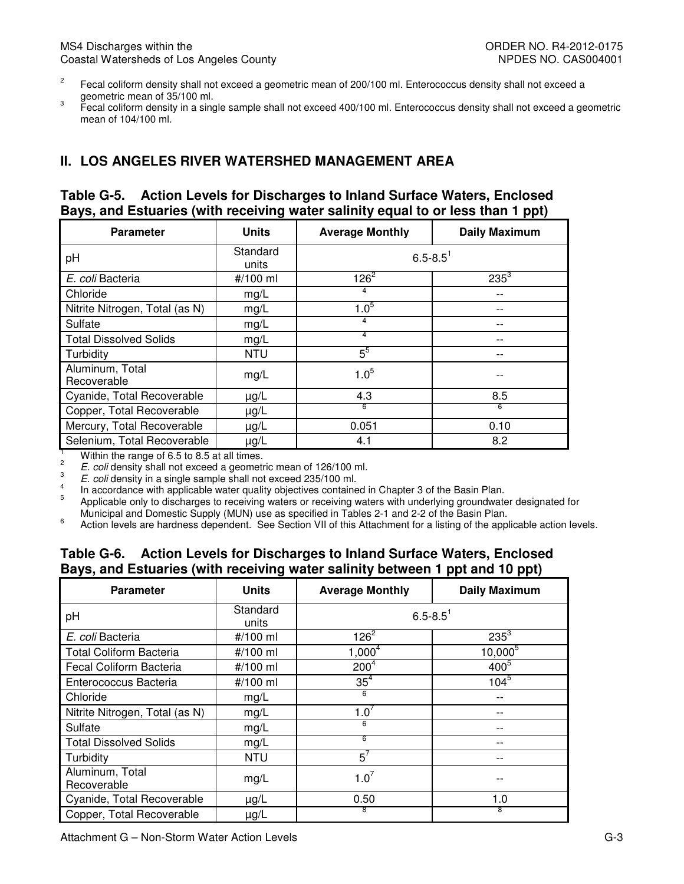- geometric mean of 35/100 ml.  $2^2$  Fecal coliform density shall not exceed a geometric mean of 200/100 ml. Enterococcus density shall not exceed a
- mean of 104/100 ml. geometric mean of 35,100 m.m.<br>Fecal coliform density in a single sample shall not exceed 400/100 ml. Enterococcus density shall not exceed a geometric

## **II. LOS ANGELES RIVER WATERSHED MANAGEMENT AREA**

#### **Table G-5. Bays, and Estuaries (with receiving water salinity equal to or less than 1 ppt)**  Action Levels for Discharges to Inland Surface Waters, Enclosed

| <b>Parameter</b>                                                                                                                                                                                                         | <b>Units</b>      | <b>Average Monthly</b>   | <b>Daily Maximum</b> |  |  |
|--------------------------------------------------------------------------------------------------------------------------------------------------------------------------------------------------------------------------|-------------------|--------------------------|----------------------|--|--|
| pH                                                                                                                                                                                                                       | Standard<br>units | $6.5 - 8.5$ <sup>1</sup> |                      |  |  |
| E. coli Bacteria                                                                                                                                                                                                         | #/100 ml          | $126^2$                  | $235^3$              |  |  |
| Chloride                                                                                                                                                                                                                 | mg/L              | 4                        |                      |  |  |
| Nitrite Nitrogen, Total (as N)                                                                                                                                                                                           | mg/L              | $1.0^{5}$                |                      |  |  |
| Sulfate                                                                                                                                                                                                                  | mg/L              | $\overline{4}$           |                      |  |  |
| <b>Total Dissolved Solids</b>                                                                                                                                                                                            | mg/L              | 4                        | --                   |  |  |
| Turbidity                                                                                                                                                                                                                | <b>NTU</b>        | $5^5$                    | --                   |  |  |
| Aluminum, Total<br>Recoverable                                                                                                                                                                                           | mg/L              | $1.0^{5}$                |                      |  |  |
| Cyanide, Total Recoverable                                                                                                                                                                                               | $\mu$ g/L         | 4.3                      | 8.5                  |  |  |
| Copper, Total Recoverable                                                                                                                                                                                                | $\mu$ g/L         | 6                        | 6                    |  |  |
| Mercury, Total Recoverable                                                                                                                                                                                               | $\mu$ g/L         | 0.051                    | 0.10                 |  |  |
| Selenium, Total Recoverable                                                                                                                                                                                              | $\mu$ g/L         | 4.1                      | 8.2                  |  |  |
| т<br>Within the range of 6.5 to 8.5 at all times.<br>$\overline{\mathbf{c}}$<br>E. coli density shall not exceed a geometric mean of 126/100 ml.<br>3<br>E. coli density in a single sample shall not exceed 235/100 ml. |                   |                          |                      |  |  |

<sup>4</sup> In accordance with applicable water quality objectives contained in Chapter 3 of the Basin Plan.

 $5$  Applicable only to discharges to receiving waters or receiving waters with underlying groundwater designated for Municipal and Domestic Supply (MUN) use as specified in Tables 2-1 and 2-2 of the Basin Plan.

6 Action levels are hardness dependent. See Section VII of this Attachment for a listing of the applicable action levels.

#### **Table G-6. Action Levels for Discharges to Inland Surface Waters, Enclosed Bays, and Estuaries (with receiving water salinity between 1 ppt and 10 ppt)**

| <b>Parameter</b>               | <b>Units</b>      | <b>Average Monthly</b>   | <b>Daily Maximum</b> |  |
|--------------------------------|-------------------|--------------------------|----------------------|--|
| pH                             | Standard<br>units | $6.5 - 8.5$ <sup>1</sup> |                      |  |
| E. coli Bacteria               | #/100 ml          | $126^{2}$                | $235^{3}$            |  |
| <b>Total Coliform Bacteria</b> | #/100 ml          | $1,000^4$                | $10,000^{5}$         |  |
| Fecal Coliform Bacteria        | #/100 ml          | 200 <sup>4</sup>         | 400 <sup>5</sup>     |  |
| Enterococcus Bacteria          | #/100 ml          | 35 <sup>4</sup>          | $104^{5}$            |  |
| Chloride                       | mg/L              | 6                        | --                   |  |
| Nitrite Nitrogen, Total (as N) | mg/L              | $1.0^7$                  |                      |  |
| Sulfate                        | mg/L              | 6                        | --                   |  |
| <b>Total Dissolved Solids</b>  | mg/L              | 6                        | --                   |  |
| Turbidity                      | <b>NTU</b>        | $5^7$                    |                      |  |
| Aluminum, Total<br>Recoverable | mg/L              | $1.0^7$                  |                      |  |
| Cyanide, Total Recoverable     | $\mu$ g/L         | 0.50                     | 1.0                  |  |
| Copper, Total Recoverable      | $\mu$ g/L         | 8                        | 8                    |  |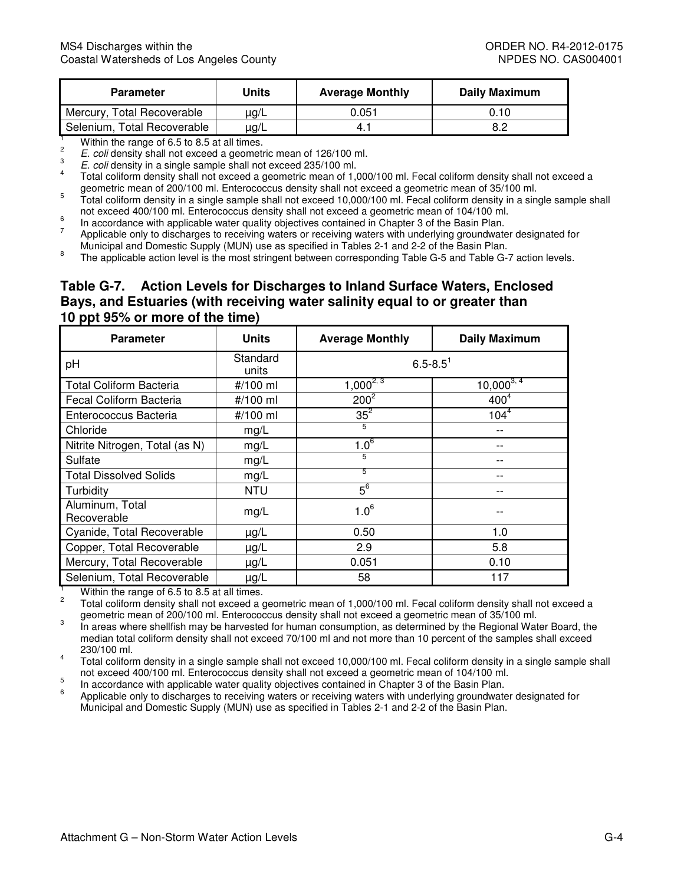| <b>Parameter</b>            | Units     | <b>Average Monthly</b> | Daily Maximum |
|-----------------------------|-----------|------------------------|---------------|
| Mercury, Total Recoverable  | $\mu$ g/L | 0.051                  | 0.10          |
| Selenium, Total Recoverable | $\mu$ g/L | 4.                     | 8.2           |

 $\overline{c}$ E. coli density shall not exceed a geometric mean of 126/100 ml.<br>E. coli density in a single sample shall not exceed 235/100 ml.

geometric mean of 200/100 ml. Enterococcus density shall not exceed a geometric mean of 35/100 ml. <sup>1</sup><br>
2<br> *E. coli* density shall not exceed a geometric mean of 126/100 ml.<br> *E. coli* density in a single sample shall not exceed 235/100 ml.<br>
Total coliform density shall not exceed a geometric mean of 1,000/100 ml. Feca

not exceed 400/100 ml. Enterococcus density shall not exceed a geometric mean of 104/100 ml. In accordance with applicable water quality objectives contained in Chapter 3 of the Basin Plan. geometric mean of 200/100 min. Enterococcus density shall not exceed a geometric mean of 35/100 ml.<br><sup>5</sup> Total coliform density in a single sample shall not exceed 10,000/100 ml. Fecal coliform density in a single sample sh

 $6\overline{6}$ 

not exceed 400/100 ml. Enterococcus density shall not exceed a geometric mean of 104/100 ml.<br>In accordance with applicable water quality objectives contained in Chapter 3 of the Basin Plan.<br>Applicable only to discharges to Municipal and Domestic Supply (MUN) use as specified in Tables 2-1 and 2-2 of the Basin Plan.

Municipal and Domestic Supply (MUN) assets Supplemed in Tables 2-1 and 2-2 of the Basin Plan.<br><sup>8</sup> The applicable action level is the most stringent between corresponding Table G-5 and Table G-7 action levels.

#### **Table G-7. Action Levels for Discharges to Inland Surface Waters, Enclosed Bays, and Estuaries (with receiving water salinity equal to or greater than 10 ppt 95% or more of the time)**

| <b>Parameter</b>               | <b>Units</b>      | <b>Average Monthly</b>   | <b>Daily Maximum</b> |
|--------------------------------|-------------------|--------------------------|----------------------|
| pH                             | Standard<br>units | $6.5 - 8.5$ <sup>1</sup> |                      |
| <b>Total Coliform Bacteria</b> | #/100 ml          | $1,000^{2,3}$            | $10,000^{3,4}$       |
| Fecal Coliform Bacteria        | #/100 ml          | $200^2$                  | 400 <sup>4</sup>     |
| Enterococcus Bacteria          | #/100 ml          | $35^2$                   | $104^4$              |
| Chloride                       | mg/L              | 5                        | --                   |
| Nitrite Nitrogen, Total (as N) | mg/L              | $1.0^6$                  | --                   |
| Sulfate                        | mg/L              | 5                        |                      |
| <b>Total Dissolved Solids</b>  | mg/L              | 5                        |                      |
| Turbidity                      | <b>NTU</b>        | $5^6$                    |                      |
| Aluminum, Total<br>Recoverable | mg/L              | $1.0^6$                  |                      |
| Cyanide, Total Recoverable     | $\mu$ g/L         | 0.50                     | 1.0                  |
| Copper, Total Recoverable      | $\mu g/L$         | 2.9                      | 5.8                  |
| Mercury, Total Recoverable     | $\mu$ g/L         | 0.051                    | 0.10                 |
| Selenium, Total Recoverable    | $\mu$ g/L         | 58                       | 117                  |

Within the range of 6.5 to 8.5 at all times.

 $\mathfrak{p}$  geometric mean of 200/100 ml. Enterococcus density shall not exceed a geometric mean of 35/100 ml. 2 Total coliform density shall not exceed a geometric mean of 1,000/100 ml. Fecal coliform density shall not exceed a

 median total coliform density shall not exceed 70/100 ml and not more than 10 percent of the samples shall exceed <sup>3</sup> In areas where shellfish may be harvested for human consumption, as determined by the Regional Water Board, the 230/100 ml.

 not exceed 400/100 ml. Enterococcus density shall not exceed a geometric mean of 104/100 ml. 4 Total coliform density in a single sample shall not exceed 10,000/100 ml. Fecal coliform density in a single sample shall

<sup>5</sup> In accordance with applicable water quality objectives contained in Chapter 3 of the Basin Plan.

 $6$  Applicable only to discharges to receiving waters or receiving waters with underlying groundwater designated for Municipal and Domestic Supply (MUN) use as specified in Tables 2-1 and 2-2 of the Basin Plan.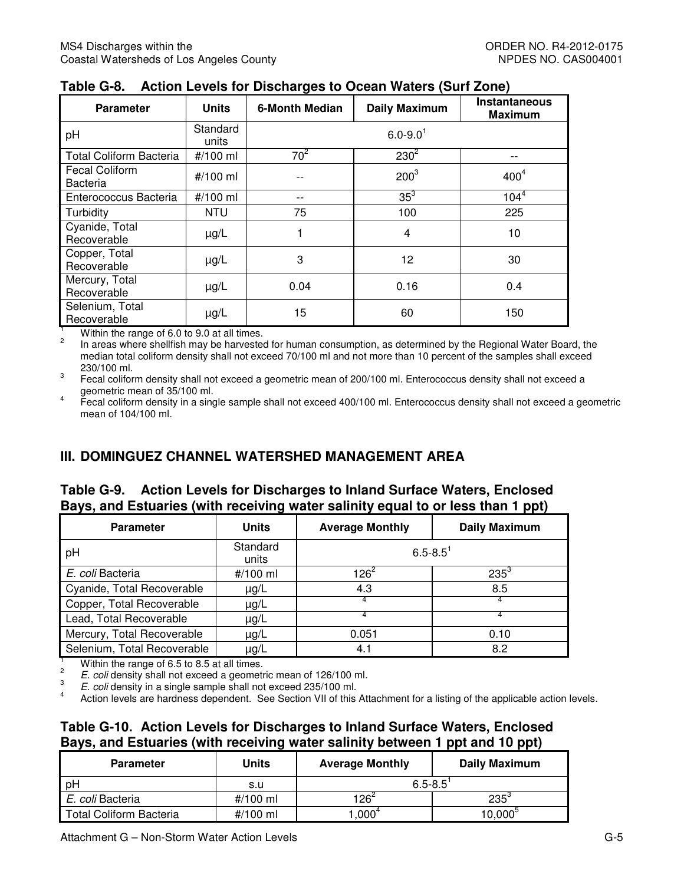| <b>Parameter</b>                         | <b>Units</b>      | <b>6-Month Median</b> | <b>Daily Maximum</b>     | <b>Instantaneous</b><br><b>Maximum</b> |
|------------------------------------------|-------------------|-----------------------|--------------------------|----------------------------------------|
| pH                                       | Standard<br>units |                       | $6.0 - 9.0$ <sup>1</sup> |                                        |
| <b>Total Coliform Bacteria</b>           | #/100 ml          | $70^2$                | $230^2$                  |                                        |
| <b>Fecal Coliform</b><br><b>Bacteria</b> | #/100 ml          |                       | $200^3$                  | 400 <sup>4</sup>                       |
| Enterococcus Bacteria                    | #/100 ml          | $- -$                 | $35^3$                   | $104^{4}$                              |
| Turbidity                                | <b>NTU</b>        | 75                    | 100                      | 225                                    |
| Cyanide, Total<br>Recoverable            | $\mu$ g/L         |                       | 4                        | 10                                     |
| Copper, Total<br>Recoverable             | $\mu$ g/L         | 3                     | 12                       | 30                                     |
| Mercury, Total<br>Recoverable            | $\mu$ g/L         | 0.04                  | 0.16                     | 0.4                                    |
| Selenium, Total<br>Recoverable           | $\mu$ g/L         | 15                    | 60                       | 150                                    |

|  | Table G-8. Action Levels for Discharges to Ocean Waters (Surf Zone) |  |  |
|--|---------------------------------------------------------------------|--|--|
|--|---------------------------------------------------------------------|--|--|

Within the range of 6.0 to 9.0 at all times.

 median total coliform density shall not exceed 70/100 ml and not more than 10 percent of the samples shall exceed In areas where shellfish may be harvested for human consumption, as determined by the Regional Water Board, the 230/100 ml.

 $\overline{3}$  geometric mean of 35/100 ml. Fecal coliform density shall not exceed a geometric mean of 200/100 ml. Enterococcus density shall not exceed a

 mean of 104/100 ml. 4 Fecal coliform density in a single sample shall not exceed 400/100 ml. Enterococcus density shall not exceed a geometric

## **III. DOMINGUEZ CHANNEL WATERSHED MANAGEMENT AREA**

#### **Table G-9. Action Levels for Discharges to Inland Surface Waters, Enclosed Bays, and Estuaries (with receiving water salinity equal to or less than 1 ppt)**

| <b>Parameter</b>                                                                                                                                                                                           | <b>Units</b>      | <b>Average Monthly</b>   | <b>Daily Maximum</b> |  |  |
|------------------------------------------------------------------------------------------------------------------------------------------------------------------------------------------------------------|-------------------|--------------------------|----------------------|--|--|
| pH                                                                                                                                                                                                         | Standard<br>units | $6.5 - 8.5$ <sup>1</sup> |                      |  |  |
| E. coli Bacteria                                                                                                                                                                                           | #/100 ml          | $126^2$                  | $235^{3}$            |  |  |
| Cyanide, Total Recoverable                                                                                                                                                                                 | $\mu$ g/L         | 4.3                      | 8.5                  |  |  |
| Copper, Total Recoverable                                                                                                                                                                                  | $\mu$ g/L         | 4                        | 4                    |  |  |
| Lead, Total Recoverable                                                                                                                                                                                    | $\mu$ g/L         | 4                        |                      |  |  |
| Mercury, Total Recoverable                                                                                                                                                                                 | $\mu$ g/L         | 0.051                    | 0.10                 |  |  |
| Selenium, Total Recoverable                                                                                                                                                                                | $\mu$ g/L         | 4.1                      | 8.2                  |  |  |
| Within the range of 6.5 to 8.5 at all times.<br>$\overline{2}$<br>E. coli density shall not exceed a geometric mean of 126/100 ml.<br>3<br>E. coli density in a single sample shall not exceed 235/100 ml. |                   |                          |                      |  |  |

 $\overline{4}$ 4 Action levels are hardness dependent. See Section VII of this Attachment for a listing of the applicable action levels.

#### **Table G-10. Action Levels for Discharges to Inland Surface Waters, Enclosed Bays, and Estuaries (with receiving water salinity between 1 ppt and 10 ppt)**

| <b>Parameter</b>               | <b>Units</b> | <b>Average Monthly</b> | Daily Maximum    |  |
|--------------------------------|--------------|------------------------|------------------|--|
| рH                             | s.u          | $6.5 - 8.5$            |                  |  |
| E. coli Bacteria               | #/100 ml     | $126^2$                | $235^{3}$        |  |
| <b>Total Coliform Bacteria</b> | #/100 ml     | $.000^{\circ}$         | $10,000^{\circ}$ |  |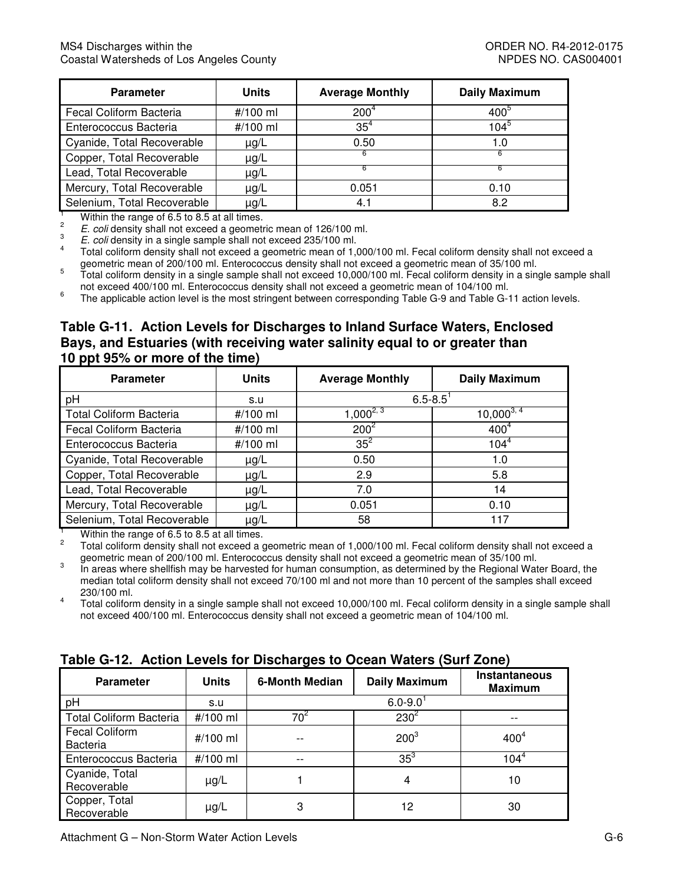| <b>Parameter</b>            | <b>Units</b> | <b>Average Monthly</b> | <b>Daily Maximum</b> |
|-----------------------------|--------------|------------------------|----------------------|
| Fecal Coliform Bacteria     | #/100 ml     | 200 <sup>4</sup>       | $400^\circ$          |
| Enterococcus Bacteria       | #/100 ml     | $35^4$                 | $104^\circ$          |
| Cyanide, Total Recoverable  | $\mu$ g/L    | 0.50                   | 1.0                  |
| Copper, Total Recoverable   | µg/L         |                        |                      |
| Lead, Total Recoverable     | $\mu$ g/L    |                        |                      |
| Mercury, Total Recoverable  | $\mu$ g/L    | 0.051                  | 0.10                 |
| Selenium, Total Recoverable | µg/L         | 4.1                    | 8.2                  |

 $\overline{2}$ 

E. coli density shall not exceed a geometric mean of 126/100 ml.

E. coli density in a single sample shall not exceed 235/100 ml.

 $\overline{4}$ geometric mean of 200/100 ml. Enterococcus density shall not exceed a geometric mean of 35/100 ml. <sup>1</sup><br>
2<br> *E. coli* density shall not exceed a geometric mean of 126/100 ml.<br>
<sup>3</sup><br> *E. coli* density in a single sample shall not exceed 235/100 ml.<br>
<sup>3</sup><br>
Total coliform density shall not exceed a geometric mean of 1,000/10

 not exceed 400/100 ml. Enterococcus density shall not exceed a geometric mean of 104/100 ml. geometric mean of 200/100 min. Enterococcus density shall not exceed a geometric mean of 35/100 ml.<br><sup>5</sup> Total coliform density in a single sample shall not exceed 10,000/100 ml. Fecal coliform density in a single sample sh

<sup>6</sup> The applicable action level is the most stringent between corresponding Table G-9 and Table G-11 action levels.

#### **Table G-11. Action Levels for Discharges to Inland Surface Waters, Enclosed Bays, and Estuaries (with receiving water salinity equal to or greater than 10 ppt 95% or more of the time)**

| <b>Parameter</b>               | <b>Units</b> | <b>Average Monthly</b> | <b>Daily Maximum</b> |
|--------------------------------|--------------|------------------------|----------------------|
| pH                             | s.u          | $6.5 - 8.5$            |                      |
| <b>Total Coliform Bacteria</b> | #/100 ml     | $1,000^{2,3}$          | $10,000^{3,4}$       |
| Fecal Coliform Bacteria        | #/100 ml     | $200^2$                | 400 <sup>4</sup>     |
| Enterococcus Bacteria          | #/100 ml     | $35^2$                 | $104^{4}$            |
| Cyanide, Total Recoverable     | $\mu$ g/L    | 0.50                   | 1.0                  |
| Copper, Total Recoverable      | $\mu$ g/L    | 2.9                    | 5.8                  |
| Lead, Total Recoverable        | $\mu$ g/L    | 7.0                    | 14                   |
| Mercury, Total Recoverable     | $\mu$ g/L    | 0.051                  | 0.10                 |
| Selenium, Total Recoverable    | $\mu$ g/L    | 58                     | 117                  |

<sup>1</sup> Within the range of 6.5 to 8.5 at all times.

 $\overline{c}$  $2^2$  Total coliform density shall not exceed a geometric mean of 1,000/100 ml. Fecal coliform density shall not exceed a geometric mean of 200/100 ml. Enterococcus density shall not exceed a geometric mean of 35/100 ml.

 median total coliform density shall not exceed 70/100 ml and not more than 10 percent of the samples shall exceed <sup>3</sup> In areas where shellfish may be harvested for human consumption, as determined by the Regional Water Board, the 230/100 ml.

 not exceed 400/100 ml. Enterococcus density shall not exceed a geometric mean of 104/100 ml. 4 Total coliform density in a single sample shall not exceed 10,000/100 ml. Fecal coliform density in a single sample shall

| $14000$ $\sigma$ is the motion subsequential good to opposit tratoro (out) solid |              |                       |                          |                                 |  |  |  |
|----------------------------------------------------------------------------------|--------------|-----------------------|--------------------------|---------------------------------|--|--|--|
| <b>Parameter</b>                                                                 | <b>Units</b> | <b>6-Month Median</b> | <b>Daily Maximum</b>     | Instantaneous<br><b>Maximum</b> |  |  |  |
| pH                                                                               | s.u          |                       | $6.0 - 9.0$ <sup>1</sup> |                                 |  |  |  |
| <b>Total Coliform Bacteria</b>                                                   | #/100 ml     | 70 <sup>ء</sup>       | $230^2$                  |                                 |  |  |  |
| <b>Fecal Coliform</b><br><b>Bacteria</b>                                         | #/100 ml     | --                    | $200^3$                  | 400 <sup>4</sup>                |  |  |  |
| Enterococcus Bacteria                                                            | #/100 ml     | --                    | 35 <sup>3</sup>          | $104^{4}$                       |  |  |  |
| Cyanide, Total<br>Recoverable                                                    | $\mu$ g/L    |                       | 4                        | 10                              |  |  |  |
| Copper, Total<br>Recoverable                                                     | $\mu$ g/L    | 3                     | 12                       | 30                              |  |  |  |

#### **Table G-12. Action Levels for Discharges to Ocean Waters (Surf Zone)**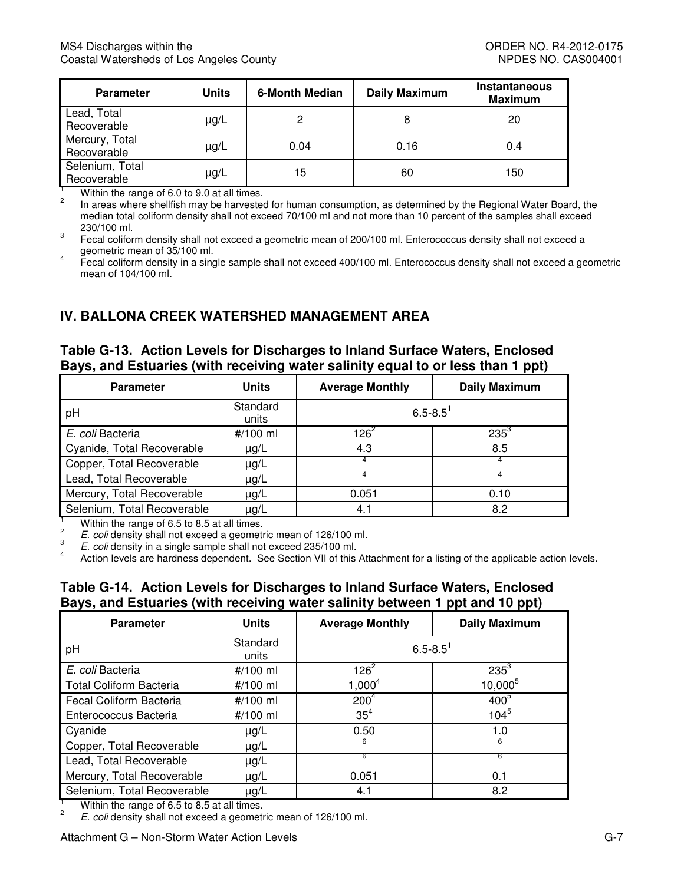| <b>Parameter</b>               | <b>Units</b> | 6-Month Median | <b>Daily Maximum</b> | <b>Instantaneous</b><br><b>Maximum</b> |
|--------------------------------|--------------|----------------|----------------------|----------------------------------------|
| Lead, Total<br>Recoverable     | $\mu$ g/L    |                |                      | 20                                     |
| Mercury, Total<br>Recoverable  | $\mu$ g/L    | 0.04           | 0.16                 | 0.4                                    |
| Selenium, Total<br>Recoverable | $\mu$ g/L    | 15             | 60                   | 150                                    |

 median total coliform density shall not exceed 70/100 ml and not more than 10 percent of the samples shall exceed Within the range of 6.0 to 9.0 at all times.<br>In areas where shellfish may be harvested for human consumption, as determined by the Regional Water Board, the

geometric mean of 35/100 ml. 230/100 ml.<br><sup>3</sup> Fecal coliform density shall not exceed a geometric mean of 200/100 ml. Enterococcus density shall not exceed a

 mean of 104/100 ml. <sup>4</sup> Fecal coliform density in a single sample shall not exceed 400/100 ml. Enterococcus density shall not exceed a geometric

# **IV. BALLONA CREEK WATERSHED MANAGEMENT AREA**

#### **Table G-13. Action Levels for Discharges to Inland Surface Waters, Enclosed Bays, and Estuaries (with receiving water salinity equal to or less than 1 ppt)**

| <b>Parameter</b>                                                                                                                                                                                           | <b>Units</b>      | <b>Average Monthly</b>   | <b>Daily Maximum</b> |  |
|------------------------------------------------------------------------------------------------------------------------------------------------------------------------------------------------------------|-------------------|--------------------------|----------------------|--|
| pH                                                                                                                                                                                                         | Standard<br>units | $6.5 - 8.5$ <sup>1</sup> |                      |  |
| E. coli Bacteria                                                                                                                                                                                           | #/100 ml          | $126^2$                  | $235^3$              |  |
| Cyanide, Total Recoverable                                                                                                                                                                                 | $\mu$ g/L         | 4.3                      | 8.5                  |  |
| Copper, Total Recoverable                                                                                                                                                                                  | $\mu$ g/L         |                          | 4                    |  |
| Lead, Total Recoverable                                                                                                                                                                                    | $\mu$ g/L         | 4                        | 4                    |  |
| Mercury, Total Recoverable                                                                                                                                                                                 | $\mu$ g/L         | 0.051                    | 0.10                 |  |
| Selenium, Total Recoverable                                                                                                                                                                                | $\mu$ g/L         | 4.1                      | 8.2                  |  |
| Within the range of 6.5 to 8.5 at all times.<br>$\overline{c}$<br>E. coli density shall not exceed a geometric mean of 126/100 ml.<br>3<br>E. coli density in a single sample shall not exceed 235/100 ml. |                   |                          |                      |  |

 $\overline{4}$ 4 Action levels are hardness dependent. See Section VII of this Attachment for a listing of the applicable action levels.

#### **Table G-14. Action Levels for Discharges to Inland Surface Waters, Enclosed Bays, and Estuaries (with receiving water salinity between 1 ppt and 10 ppt)**

| <b>Parameter</b>               | <b>Units</b>      | <b>Average Monthly</b>   | <b>Daily Maximum</b> |
|--------------------------------|-------------------|--------------------------|----------------------|
| рH                             | Standard<br>units | $6.5 - 8.5$ <sup>1</sup> |                      |
| E. coli Bacteria               | #/100 ml          | $126^2$                  | $235^3$              |
| <b>Total Coliform Bacteria</b> | #/100 ml          | $1,000^4$                | $10,000^{5}$         |
| Fecal Coliform Bacteria        | #/100 ml          | 200 <sup>4</sup>         | 400 <sup>5</sup>     |
| Enterococcus Bacteria          | #/100 ml          | 35 <sup>4</sup>          | $104^{5}$            |
| Cyanide                        | $\mu$ g/L         | 0.50                     | 1.0                  |
| Copper, Total Recoverable      | $\mu$ g/L         | 6                        | 6                    |
| Lead, Total Recoverable        | $\mu$ g/L         | 6                        | 6                    |
| Mercury, Total Recoverable     | $\mu$ g/L         | 0.051                    | 0.1                  |
| Selenium, Total Recoverable    | $\mu$ g/L         | 4.1                      | 8.2                  |

<sup>1</sup> Within the range of 6.5 to 8.5 at all times.

 $2^2$  E. coli density shall not exceed a geometric mean of 126/100 ml.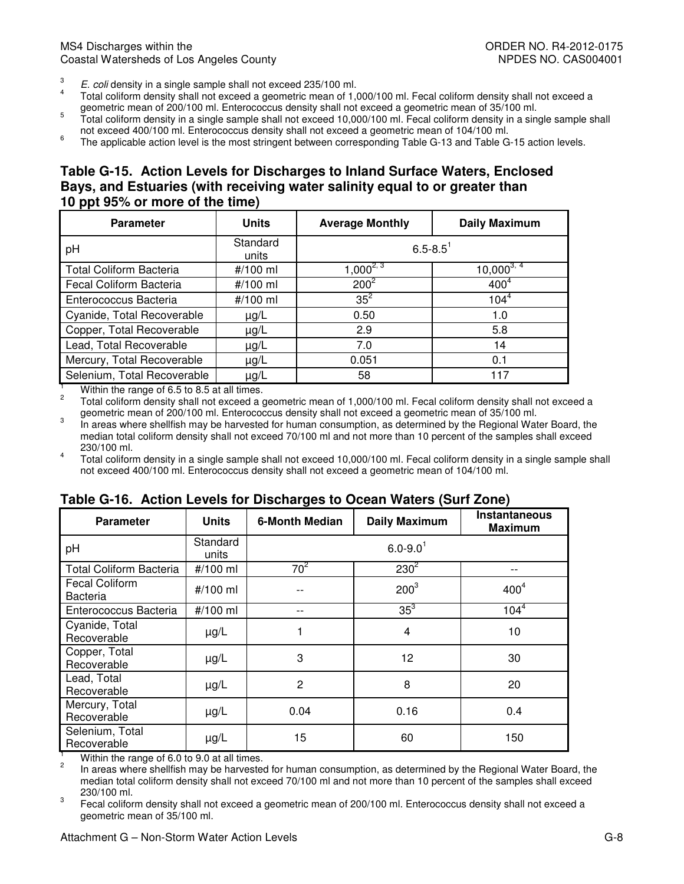- E. coli density in a single sample shall not exceed 235/100 ml.
- geometric mean of 200/100 ml. Enterococcus density shall not exceed a geometric mean of 35/100 ml.  $\frac{3}{4}$  E. coli density in a single sample shall not exceed 235/100 ml.<br> $\frac{4}{4}$  Total coliform density shall not exceed a geometric mean of 1,000/100 ml. Fecal coliform density shall not exceed a
- ml. Enterococcus 5 Total coliform density in a single sample shall not exceed 10,000/100 ml. Fecal coliform density in a single sample shall
- <sup>6</sup> The applicable action level is the most stringent between corresponding Table G-13 and Table G-15 action levels.

#### **Table G-15. Action Levels for Discharges to Inland Surface Waters, Enclosed Bays, and Estuaries (with receiving water salinity equal to or greater than 10 ppt 95% or more of the time)**

| <b>Parameter</b>               | <b>Units</b>      | <b>Average Monthly</b>   | <b>Daily Maximum</b>      |
|--------------------------------|-------------------|--------------------------|---------------------------|
| рH                             | Standard<br>units | $6.5 - 8.5$ <sup>1</sup> |                           |
| <b>Total Coliform Bacteria</b> | #/100 ml          | $1,000^{2,3}$            | $10,000^{3,\overline{4}}$ |
| Fecal Coliform Bacteria        | #/100 ml          | $200^2$                  | 400 <sup>4</sup>          |
| Enterococcus Bacteria          | #/100 ml          | $35^2$                   | $104^4$                   |
| Cyanide, Total Recoverable     | $\mu$ g/L         | 0.50                     | 1.0                       |
| Copper, Total Recoverable      | $\mu$ g/L         | 2.9                      | 5.8                       |
| Lead, Total Recoverable        | $\mu$ g/L         | 7.0                      | 14                        |
| Mercury, Total Recoverable     | $\mu$ g/L         | 0.051                    | 0.1                       |
| Selenium, Total Recoverable    | $\mu$ g/L         | 58                       | 117                       |

<sup>1</sup> Within the range of 6.5 to 8.5 at all times.

 $2^2$  Total coliform density shall not exceed a geometric mean of 1,000/100 ml. Fecal coliform density shall not exceed a geometric mean of 200/100 ml. Enterococcus density shall not exceed a geometric mean of 35/100ml.

 $\overline{3}$  median total coliform density shall not exceed 70/100 ml and not more than 10 percent of the samples shall exceed In areas where shellfish may be harvested for human consumption, as determined by the Regional Water Board, the 230/100 ml.

 not exceed 400/100 ml. Enterococcus density shall not exceed a geometric mean of 104/100 ml. <sup>4</sup> Total coliform density in a single sample shall not exceed 10,000/100 ml. Fecal coliform density in a single sample shall

#### **Parameter Digital Units | 6-Month Median | Daily Maximum | Instantaneous | Units | 6-Month Median | Daily Maximum | Instantaneous** Total Coliform Bacteria  $#/100$  ml  $70<sup>2</sup>$  Fecal Coliform Enterococcus Bacteria  $\left| 1/100 \text{ ml} \right|$  --  $\left| 35^3 \right|$  104<sup>4</sup> Cyanide, Total Copper, Total Lead, Total Mercury, Total Selenium, Total **Maximum**  pH Standard<br>units  $\mu$ nits  $6.0 - 9.0$ <sup>1</sup>  $230^2$  | --Bacteria #/100 ml -- <sup>2003</sup>  $400<sup>4</sup>$  $P$  Recoverable  $\mu$ g/L 1 1 4 10 Propper, Fotal unit under public unit and the series of the series of the series of the series of the series o<br>Recoverable the series of the series of the series of the series of the series of the series of the series of  $Recoverable$   $\qquad \qquad$   $\qquad \qquad$   $\qquad \qquad$   $\qquad$   $\qquad \qquad$   $\qquad \qquad$   $\qquad \qquad$   $\qquad$   $\qquad \qquad$   $\qquad \qquad$   $\qquad \qquad$   $\qquad$   $\qquad \qquad$   $\qquad$   $\qquad$   $\qquad$   $\qquad$   $\qquad$   $\qquad$   $\qquad$   $\qquad$   $\qquad$   $\qquad$   $\qquad$   $\qquad$   $\qquad$   $\qquad$   $\qquad$   $\qquad$   $\qquad$   $\qquad$ Mcredity, Fotal public up up/L 0.04 0.16 0.16 0.4 0.4  $\frac{15}{2}$  Recoverable  $\frac{15}{2}$   $\frac{15}{30}$  150

## **Table G-16. Action Levels for Discharges to Ocean Waters (Surf Zone)**

 $\mathfrak{p}$ Within the range of 6.0 to 9.0 at all times.

 median total coliform density shall not exceed 70/100 ml and not more than 10 percent of the samples shall exceed 2 In areas where shellfish may be harvested for human consumption, as determined by the Regional Water Board, the 230/100 ml.

 geometric mean of 35/100 ml. <sup>3</sup> Fecal coliform density shall not exceed a geometric mean of 200/100 ml. Enterococcus density shall not exceed a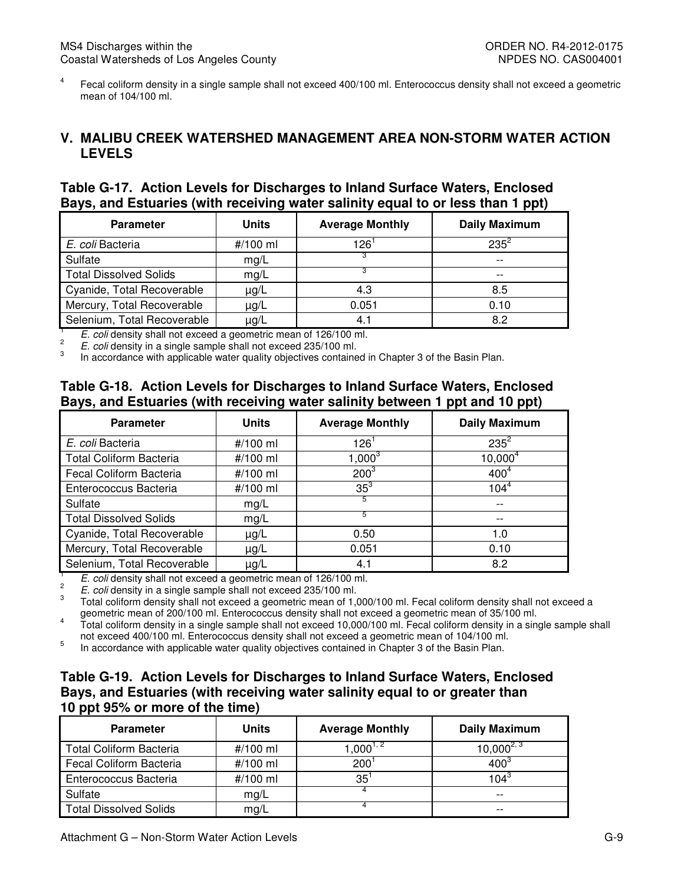mean of 104/100 ml. <sup>4</sup> Fecal coliform density in a single sample shall not exceed 400/100 ml. Enterococcus density shall not exceed a geometric

#### **V. MALIBU CREEK WATERSHED MANAGEMENT AREA NON-STORM WATER ACTION LEVELS**

# **LEVELS Table G-17. Action Levels for Discharges to Inland Surface Waters, Enclosed Bays, and Estuaries (with receiving water salinity equal to or less than 1 ppt)**

| <b>Average Monthly</b><br><b>Daily Maximum</b> |
|------------------------------------------------|
| $235^2$                                        |
| $- -$                                          |
| $- -$                                          |
| 8.5                                            |
| 0.10                                           |
| 8.2                                            |
|                                                |

 $\frac{1}{2}$  E. coli density shall not exceed a geometric mean of 126/100 ml.

 $\overline{3}$ <sup>2</sup> E. coli density in a single sample shall not exceed 235/100 ml.

In accordance with applicable water quality objectives contained in Chapter 3 of the Basin Plan.

#### **Table G-18. Action Levels for Discharges to Inland Surface Waters, Enclosed Bays, and Estuaries (with receiving water salinity between 1 ppt and 10 ppt)**

| <b>Parameter</b>               | <b>Units</b> | <b>Average Monthly</b> | <b>Daily Maximum</b> |
|--------------------------------|--------------|------------------------|----------------------|
| E. coli Bacteria               | #/100 ml     | 126'                   | $235^2$              |
| <b>Total Coliform Bacteria</b> | #/100 ml     | $1,000^3$              | $10,000^4$           |
| Fecal Coliform Bacteria        | #/100 ml     | $200^{3}$              | 400 <sup>4</sup>     |
| Enterococcus Bacteria          | #/100 ml     | $35^3$                 | $104^{4}$            |
| Sulfate                        | mg/L         |                        | $-$                  |
| <b>Total Dissolved Solids</b>  | mg/L         | 5                      | $- -$                |
| Cyanide, Total Recoverable     | $\mu$ g/L    | 0.50                   | 1.0                  |
| Mercury, Total Recoverable     | $\mu$ g/L    | 0.051                  | 0.10                 |
| Selenium, Total Recoverable    | µg/L         | 4.1                    | 8.2                  |

 $\frac{1}{2}$  E. coli density shall not exceed a geometric mean of 126/100 ml.

 $2^2$  E. coli density in a single sample shall not exceed 235/100 ml.

3 geometric mean of 200/100 ml. Enterococcus density shall not exceed a geometric mean of 35/100 ml. 3 Total coliform density shall not exceed a geometric mean of 1,000/100 ml. Fecal coliform density shall not exceed a

 not exceed 400/100 ml. Enterococcus density shall not exceed a geometric mean of 104/100 ml. <sup>4</sup> Total coliform density in a single sample shall not exceed 10,000/100 ml. Fecal coliform density in a single sample shall

5 In accordance with applicable water quality objectives contained in Chapter 3 of the Basin Plan.

#### **Table G-19. Action Levels for Discharges to Inland Surface Waters, Enclosed Bays, and Estuaries (with receiving water salinity equal to or greater than 10 ppt 95% or more of the time)**

| <b>Parameter</b>               | Units    | <b>Average Monthly</b> | <b>Daily Maximum</b> |
|--------------------------------|----------|------------------------|----------------------|
| <b>Total Coliform Bacteria</b> | #/100 ml | $1.000^{1,2}$          | $10,000^{2,3}$       |
| Fecal Coliform Bacteria        | #/100 ml | 200                    | $400^3$              |
| Enterococcus Bacteria          | #/100 ml | 35                     | 104 $^3$             |
| Sulfate                        | mg/L     |                        | $- -$                |
| <b>Total Dissolved Solids</b>  | mg/L     |                        | $- -$                |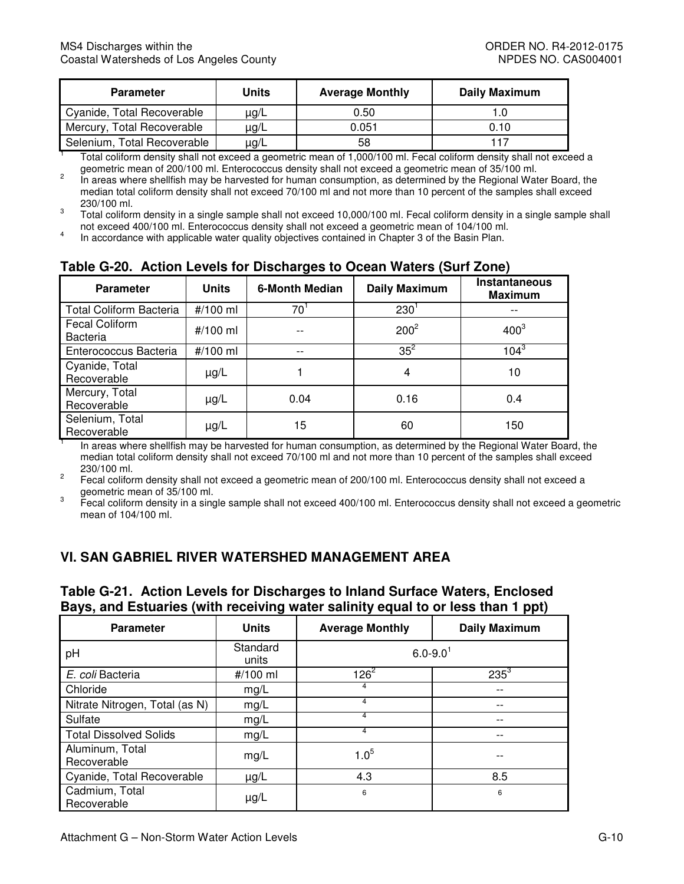| <b>Parameter</b>            | Units     | <b>Average Monthly</b> | <b>Daily Maximum</b> |
|-----------------------------|-----------|------------------------|----------------------|
| Cyanide, Total Recoverable  | $\mu$ g/L | 0.50                   |                      |
| Mercury, Total Recoverable  | $\mu$ g/L | 0.051                  | 0.10                 |
| Selenium, Total Recoverable | $\mu$ g/L | 58                     | 117                  |

geometric mean of 200/100 ml. Enterococcus density shall not exceed a geometric mean of 35/100 ml. <sup>1</sup> Total coliform density shall not exceed a geometric mean of 1,000/100 ml. Fecal coliform density shall not exceed a

 median total coliform density shall not exceed 70/100 ml and not more than 10 percent of the samples shall exceed geometric mean of 200/100 ml. Enterococcus density shall not exceed a geometric mean of 35/100 ml.<br>In areas where shellfish may be harvested for human consumption, as determined by the Regional Water Board, the 230/100 ml.<br>Total coliform density in a single sample shall not exceed 10,000/100 ml. Fecal coliform density in a single sample shall

3 not exceed 400/100 ml. Enterococcus density shall not exceed a geometric mean of 104/100 ml.

<sup>4</sup> In accordance with applicable water quality objectives contained in Chapter 3 of the Basin Plan.

| <b>Parameter</b>                         | <b>Units</b> | <b>6-Month Median</b> | <b>Daily Maximum</b> | Instantaneous<br><b>Maximum</b> |
|------------------------------------------|--------------|-----------------------|----------------------|---------------------------------|
| <b>Total Coliform Bacteria</b>           | #/100 ml     | 70                    | 230                  |                                 |
| <b>Fecal Coliform</b><br><b>Bacteria</b> | #/100 ml     |                       | $200^2$              | $400^3$                         |
| Enterococcus Bacteria                    | #/100 ml     | $- -$                 | $35^2$               | $104^{3}$                       |
| Cyanide, Total<br>Recoverable            | $\mu$ g/L    |                       | 4                    | 10                              |
| Mercury, Total<br>Recoverable            | $\mu$ g/L    | 0.04                  | 0.16                 | 0.4                             |
| Selenium, Total<br>Recoverable           | $\mu$ g/L    | 15                    | 60                   | 150                             |

## **Table G-20. Action Levels for Discharges to Ocean Waters (Surf Zone)**

 median total coliform density shall not exceed 70/100 ml and not more than 10 percent of the samples shall exceed In areas where shellfish may be harvested for human consumption, as determined by the Regional Water Board, the 230/100 ml.

 geometric mean of 35/100 ml. <sup>2</sup> Fecal coliform density shall not exceed a geometric mean of 200/100 ml. Enterococcus density shall not exceed a

 mean of 104/100 ml. 3 Fecal coliform density in a single sample shall not exceed 400/100 ml. Enterococcus density shall not exceed a geometric

# **VI. SAN GABRIEL RIVER WATERSHED MANAGEMENT AREA**

#### **Table G-21. Action Levels for Discharges to Inland Surface Waters, Enclosed Bays, and Estuaries (with receiving water salinity equal to or less than 1 ppt)**

| <b>Parameter</b>               | <b>Units</b>      | <b>Average Monthly</b>   | <b>Daily Maximum</b> |  |  |  |
|--------------------------------|-------------------|--------------------------|----------------------|--|--|--|
| pH                             | Standard<br>units | $6.0 - 9.0$ <sup>1</sup> |                      |  |  |  |
| E. coli Bacteria               | #/100 ml          | $126^2$                  | $235^3$              |  |  |  |
| Chloride                       | mg/L              | 4                        | $ -$                 |  |  |  |
| Nitrate Nitrogen, Total (as N) | mg/L              | 4                        |                      |  |  |  |
| Sulfate                        | mg/L              | 4                        | $ -$                 |  |  |  |
| <b>Total Dissolved Solids</b>  | mg/L              | 4                        |                      |  |  |  |
| Aluminum, Total<br>Recoverable | mg/L              | $1.0^{5}$                |                      |  |  |  |
| Cyanide, Total Recoverable     | $\mu$ g/L         | 4.3                      | 8.5                  |  |  |  |
| Cadmium, Total<br>Recoverable  | $\mu$ g/L         | 6                        | 6                    |  |  |  |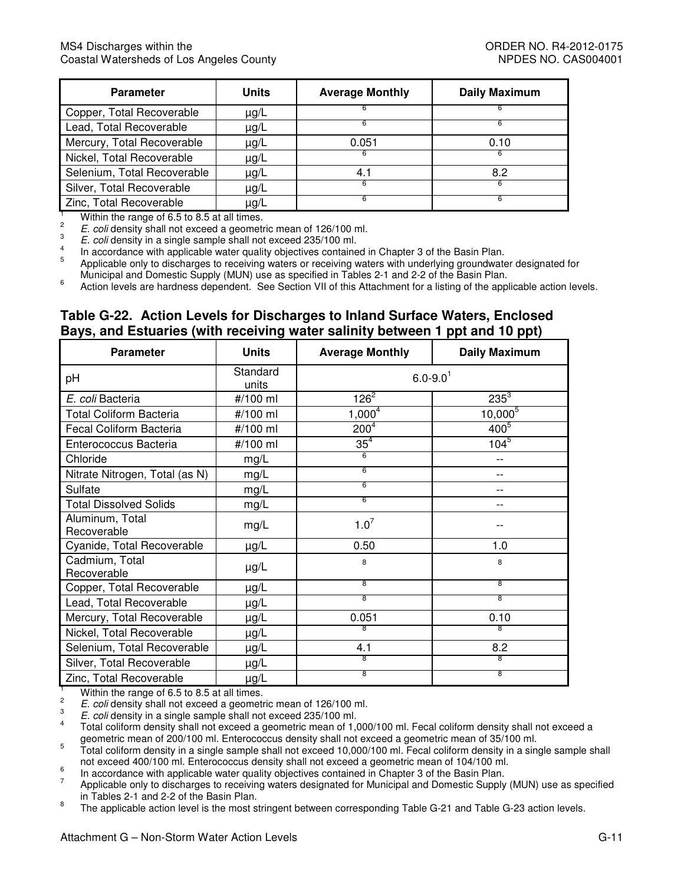| <b>Parameter</b>            | <b>Units</b> | <b>Average Monthly</b> | <b>Daily Maximum</b> |
|-----------------------------|--------------|------------------------|----------------------|
| Copper, Total Recoverable   | $\mu$ g/L    |                        |                      |
| Lead, Total Recoverable     | $\mu$ g/L    |                        |                      |
| Mercury, Total Recoverable  | $\mu$ g/L    | 0.051                  | 0.10                 |
| Nickel, Total Recoverable   | µg/L         | ĸ                      | 6                    |
| Selenium, Total Recoverable | $\mu$ g/L    | 4.1                    | 8.2                  |
| Silver, Total Recoverable   | µg/L         |                        |                      |
| Zinc, Total Recoverable     | $\mu$ g/L    |                        |                      |

 $\overline{2}$ 

E. coli density shall not exceed a geometric mean of 126/100 ml.

E. coli density in a single sample shall not exceed 235/100 ml.<br>In accordance with applicable water quality objectives contained in Chapter 3 of the Basin Plan.  $\frac{4}{5}$ 

<sup>1</sup><br>
<sup>2</sup> E. coli density shall not exceed a geometric mean of 126/100 ml.<br>
<sup>2</sup> E. coli density shall not exceed a geometric mean of 126/100 ml.<br>
<sup>3</sup> E. coli density in a single sample shall not exceed 235/100 ml.<br>
<sup>4</sup> In Municipal and Domestic Supply (MUN) use as specified in Tables 2-1 and 2-2 of the Basin Plan.

 $\boldsymbol{6}$ Action levels are hardness dependent. See Section VII of this Attachment for a listing of the applicable action levels.

#### **Table G-22. Action Levels for Discharges to Inland Surface Waters, Enclosed Bays, and Estuaries (with receiving water salinity between 1 ppt and 10 ppt)**

| <b>Parameter</b>               | <b>Units</b>      | <b>Average Monthly</b>   | <b>Daily Maximum</b> |
|--------------------------------|-------------------|--------------------------|----------------------|
| рH                             | Standard<br>units | $6.0 - 9.0$ <sup>1</sup> |                      |
| E. coli Bacteria               | #/100 ml          | $126^{2}$                | $235^{3}$            |
| <b>Total Coliform Bacteria</b> | #/100 ml          | $1,000^4$                | $10,000^{5}$         |
| Fecal Coliform Bacteria        | #/100 ml          | 200 <sup>4</sup>         | $400^{5}$            |
| Enterococcus Bacteria          | #/100 ml          | 35 <sup>4</sup>          | $104^{5}$            |
| Chloride                       | mg/L              | 6                        |                      |
| Nitrate Nitrogen, Total (as N) | mg/L              | 6                        |                      |
| Sulfate                        | mg/L              | 6                        | $ -$                 |
| <b>Total Dissolved Solids</b>  | mg/L              | 6                        | --                   |
| Aluminum, Total<br>Recoverable | mg/L              | $1.0^7$                  |                      |
| Cyanide, Total Recoverable     | $\mu$ g/L         | 0.50                     | 1.0                  |
| Cadmium, Total<br>Recoverable  | $\mu$ g/L         | 8                        | 8                    |
| Copper, Total Recoverable      | $\mu g/L$         | 8                        | 8                    |
| Lead, Total Recoverable        | μg/L              | 8                        | 8                    |
| Mercury, Total Recoverable     | µg/L              | 0.051                    | 0.10                 |
| Nickel, Total Recoverable      | $\mu$ g/L         | 8                        | 8                    |
| Selenium, Total Recoverable    | µg/L              | 4.1                      | 8.2                  |
| Silver, Total Recoverable      | $\mu$ g/L         | 8                        | 8                    |
| Zinc, Total Recoverable        | $\mu$ g/L         | 8                        | 8                    |

<sup>1</sup> Within the range of 6.5 to 8.5 at all times.

 $\frac{2}{2}$  E. coli density shall not exceed a geometric mean of 126/100 ml.

 $\frac{3}{2}$ . E. coli density in a single sample shall not exceed 235/100 ml.

 geometric mean of 200/100 ml. Enterococcus density shall not exceed a geometric mean of 35/100 ml. Total coliform density shall not exceed a geometric mean of 1,000/100 ml. Fecal coliform density shall not exceed a

 $5$  Total coliform density in a single sample shall not exceed 10,000/100 ml. Fecal coliform density in a single sample shall not exceed 400/100 ml. Enterococcus density shall not exceed a geometric mean of 104/100 ml.

In accordance with applicable water quality objectives contained in Chapter 3 of the Basin Plan.

 $7$  Applicable only to discharges to receiving waters designated for Municipal and Domestic Supply (MUN) use as specified in Tables 2-1 and 2-2 of the Basin Plan.

8 The applicable action level is the most stringent between corresponding Table G-21 and Table G-23 action levels.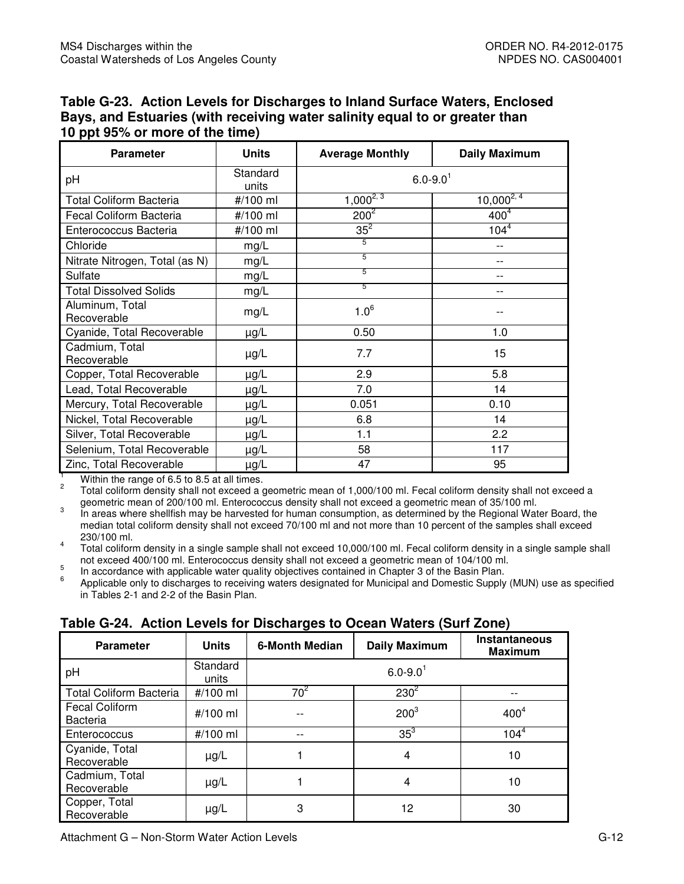| Table G-23. Action Levels for Discharges to Inland Surface Waters, Enclosed |
|-----------------------------------------------------------------------------|
| Bays, and Estuaries (with receiving water salinity equal to or greater than |
| 10 ppt 95% or more of the time)                                             |

| <b>Parameter</b>               | <b>Units</b>      | <b>Average Monthly</b>   | <b>Daily Maximum</b> |
|--------------------------------|-------------------|--------------------------|----------------------|
| pH                             | Standard<br>units | $6.0 - 9.0$ <sup>1</sup> |                      |
| <b>Total Coliform Bacteria</b> | #/100 ml          | $1,000^{2,3}$            | $10,000^{2,4}$       |
| Fecal Coliform Bacteria        | #/100 ml          | $200^2$                  | 400 <sup>4</sup>     |
| Enterococcus Bacteria          | #/100 ml          | $35^2$                   | $104^{4}$            |
| Chloride                       | mg/L              | 5                        | $- -$                |
| Nitrate Nitrogen, Total (as N) | mg/L              | $\overline{5}$           |                      |
| Sulfate                        | mg/L              | 5                        | $- -$                |
| <b>Total Dissolved Solids</b>  | mg/L              | 5                        | $-1$                 |
| Aluminum, Total<br>Recoverable | mg/L              | $1.0^6$                  |                      |
| Cyanide, Total Recoverable     | $\mu$ g/L         | 0.50                     | 1.0                  |
| Cadmium, Total<br>Recoverable  | $\mu$ g/L         | 7.7                      | 15                   |
| Copper, Total Recoverable      | $\mu$ g/L         | 2.9                      | 5.8                  |
| Lead, Total Recoverable        | µg/L              | 7.0                      | 14                   |
| Mercury, Total Recoverable     | µg/L              | 0.051                    | 0.10                 |
| Nickel, Total Recoverable      | $\mu$ g/L         | 6.8                      | 14                   |
| Silver, Total Recoverable      | $\mu$ g/L         | 1.1                      | $2.2\phantom{0}$     |
| Selenium, Total Recoverable    | µg/L              | 58                       | 117                  |
| Zinc, Total Recoverable        | $\mu$ g/L         | 47                       | 95                   |

 $\overline{2}$ <sup>1</sup> Within the range of 6.5 to 8.5 at all times.

 $2^2$  Total coliform density shall not exceed a geometric mean of 1,000/100 ml. Fecal coliform density shall not exceed a geometric mean of 200/100 ml. Enterococcus density shall not exceed a geometric mean of 35/100 ml.

3 median total coliform density shall not exceed 70/100 ml and not more than 10 percent of the samples shall exceed In areas where shellfish may be harvested for human consumption, as determined by the Regional Water Board, the 230/100 ml.

 not exceed 400/100 ml. Enterococcus density shall not exceed a geometric mean of 104/100 ml.  $4$  Total coliform density in a single sample shall not exceed 10,000/100 ml. Fecal coliform density in a single sample shall

 $\begin{array}{c} 5 \\ 6 \end{array}$ In accordance with applicable water quality objectives contained in Chapter 3 of the Basin Plan.

 $6$  Applicable only to discharges to receiving waters designated for Municipal and Domestic Supply (MUN) use as specified in Tables 2-1 and 2-2 of the Basin Plan.

| $14000$ as an algorithm and the state state $1400$ to another that $0.001$ and algorithm |                   |                       |                          |                                 |  |  |  |  |
|------------------------------------------------------------------------------------------|-------------------|-----------------------|--------------------------|---------------------------------|--|--|--|--|
| <b>Parameter</b>                                                                         | <b>Units</b>      | <b>6-Month Median</b> | <b>Daily Maximum</b>     | Instantaneous<br><b>Maximum</b> |  |  |  |  |
| pH                                                                                       | Standard<br>units |                       | $6.0 - 9.0$ <sup>1</sup> |                                 |  |  |  |  |
| <b>Total Coliform Bacteria</b>                                                           | #/100 ml          | $70^2$                | $230^2$                  |                                 |  |  |  |  |
| <b>Fecal Coliform</b><br><b>Bacteria</b>                                                 | #/100 ml          |                       | $200^3$                  | 400 <sup>4</sup>                |  |  |  |  |
| Enterococcus                                                                             | #/100 ml          |                       | $35^3$                   | $104^{4}$                       |  |  |  |  |
| Cyanide, Total<br>Recoverable                                                            | $\mu$ g/L         |                       | 4                        | 10                              |  |  |  |  |
| Cadmium, Total<br>Recoverable                                                            | µg/L              |                       | 4                        | 10                              |  |  |  |  |
| Copper, Total<br>Recoverable                                                             | $\mu$ g/L         | 3                     | 12                       | 30                              |  |  |  |  |

## **Table G-24. Action Levels for Discharges to Ocean Waters (Surf Zone)**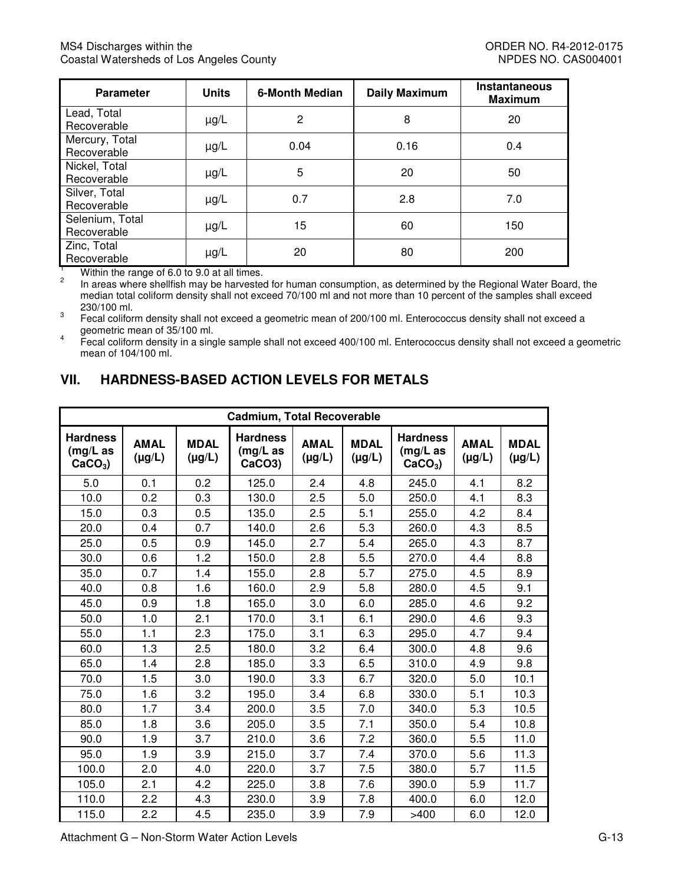| <b>Parameter</b>               | <b>Units</b> | <b>6-Month Median</b> | <b>Daily Maximum</b> |     |
|--------------------------------|--------------|-----------------------|----------------------|-----|
| Lead, Total<br>Recoverable     | $\mu$ g/L    | 2                     | 8                    | 20  |
| Mercury, Total<br>Recoverable  | $\mu$ g/L    | 0.04                  | 0.16                 | 0.4 |
| Nickel, Total<br>Recoverable   | $\mu$ g/L    | 5                     | 20                   | 50  |
| Silver, Total<br>Recoverable   | $\mu$ g/L    | 0.7                   | 2.8                  | 7.0 |
| Selenium, Total<br>Recoverable | $\mu$ g/L    | 15                    | 60                   | 150 |
| Zinc, Total<br>Recoverable     | $\mu$ g/L    | 20                    | 80                   | 200 |

 median total coliform density shall not exceed 70/100 ml and not more than 10 percent of the samples shall exceed <sup>1</sup> Within the range of 6.0 to 9.0 at all times.<br><sup>2</sup> In areas where shellfish may be harvested for human consumption, as determined by the Regional Water Board, the

 $\ensuremath{\mathsf{3}}$ geometric mean of 35/100 ml. 230/100 ml.<br>Fecal coliform density shall not exceed a geometric mean of 200/100 ml. Enterococcus density shall not exceed a

 $\overline{\mathbf{4}}$  mean of 104/100 ml. Fecal coliform density in a single sample shall not exceed 400/100 ml. Enterococcus density shall not exceed a geometric

# **VII. HARDNESS-BASED ACTION LEVELS FOR METALS**

| <b>Cadmium, Total Recoverable</b>           |                            |                            |                                          |                            |                            |                                             |                            |                            |  |  |
|---------------------------------------------|----------------------------|----------------------------|------------------------------------------|----------------------------|----------------------------|---------------------------------------------|----------------------------|----------------------------|--|--|
| <b>Hardness</b><br>$(mg/L)$ as<br>$CaCO3$ ) | <b>AMAL</b><br>$(\mu g/L)$ | <b>MDAL</b><br>$(\mu g/L)$ | <b>Hardness</b><br>$(mg/L)$ as<br>CaCO3) | <b>AMAL</b><br>$(\mu g/L)$ | <b>MDAL</b><br>$(\mu g/L)$ | <b>Hardness</b><br>$(mg/L)$ as<br>$CaCO3$ ) | <b>AMAL</b><br>$(\mu g/L)$ | <b>MDAL</b><br>$(\mu g/L)$ |  |  |
| 5.0                                         | 0.1                        | 0.2                        | 125.0                                    | 2.4                        | 4.8                        | 245.0                                       | 4.1                        | 8.2                        |  |  |
| 10.0                                        | 0.2                        | 0.3                        | 130.0                                    | 2.5                        | 5.0                        | 250.0                                       | 4.1                        | 8.3                        |  |  |
| 15.0                                        | 0.3                        | 0.5                        | 135.0                                    | 2.5                        | 5.1                        | 255.0                                       | 4.2                        | 8.4                        |  |  |
| 20.0                                        | 0.4                        | 0.7                        | 140.0                                    | 2.6                        | 5.3                        | 260.0                                       | 4.3                        | 8.5                        |  |  |
| 25.0                                        | 0.5                        | 0.9                        | 145.0                                    | 2.7                        | 5.4                        | 265.0                                       | 4.3                        | 8.7                        |  |  |
| 30.0                                        | 0.6                        | 1.2                        | 150.0                                    | 2.8                        | 5.5                        | 270.0                                       | 4.4                        | 8.8                        |  |  |
| 35.0                                        | 0.7                        | 1.4                        | 155.0                                    | 2.8                        | 5.7                        | 275.0                                       | 4.5                        | 8.9                        |  |  |
| 40.0                                        | 0.8                        | 1.6                        | 160.0                                    | 2.9                        | 5.8                        | 280.0                                       | 4.5                        | 9.1                        |  |  |
| 45.0                                        | 0.9                        | 1.8                        | 165.0                                    | 3.0                        | 6.0                        | 285.0                                       | 4.6                        | 9.2                        |  |  |
| 50.0                                        | 1.0                        | 2.1                        | 170.0                                    | 3.1                        | 6.1                        | 290.0                                       | 4.6                        | 9.3                        |  |  |
| 55.0                                        | 1.1                        | 2.3                        | 175.0                                    | 3.1                        | 6.3                        | 295.0                                       | 4.7                        | 9.4                        |  |  |
| 60.0                                        | 1.3                        | 2.5                        | 180.0                                    | 3.2                        | 6.4                        | 300.0                                       | 4.8                        | 9.6                        |  |  |
| 65.0                                        | 1.4                        | 2.8                        | 185.0                                    | 3.3                        | 6.5                        | 310.0                                       | 4.9                        | 9.8                        |  |  |
| 70.0                                        | 1.5                        | 3.0                        | 190.0                                    | 3.3                        | 6.7                        | 320.0                                       | 5.0                        | 10.1                       |  |  |
| 75.0                                        | 1.6                        | 3.2                        | 195.0                                    | 3.4                        | 6.8                        | 330.0                                       | 5.1                        | 10.3                       |  |  |
| 80.0                                        | 1.7                        | 3.4                        | 200.0                                    | 3.5                        | 7.0                        | 340.0                                       | 5.3                        | 10.5                       |  |  |
| 85.0                                        | 1.8                        | 3.6                        | 205.0                                    | 3.5                        | 7.1                        | 350.0                                       | 5.4                        | 10.8                       |  |  |
| 90.0                                        | 1.9                        | 3.7                        | 210.0                                    | 3.6                        | 7.2                        | 360.0                                       | 5.5                        | 11.0                       |  |  |
| 95.0                                        | 1.9                        | 3.9                        | 215.0                                    | 3.7                        | 7.4                        | 370.0                                       | 5.6                        | 11.3                       |  |  |
| 100.0                                       | 2.0                        | 4.0                        | 220.0                                    | 3.7                        | 7.5                        | 380.0                                       | 5.7                        | 11.5                       |  |  |
| 105.0                                       | 2.1                        | 4.2                        | 225.0                                    | 3.8                        | 7.6                        | 390.0                                       | 5.9                        | 11.7                       |  |  |
| 110.0                                       | 2.2                        | 4.3                        | 230.0                                    | 3.9                        | 7.8                        | 400.0                                       | 6.0                        | 12.0                       |  |  |
| 115.0                                       | 2.2                        | 4.5                        | 235.0                                    | 3.9                        | 7.9                        | >400                                        | 6.0                        | 12.0                       |  |  |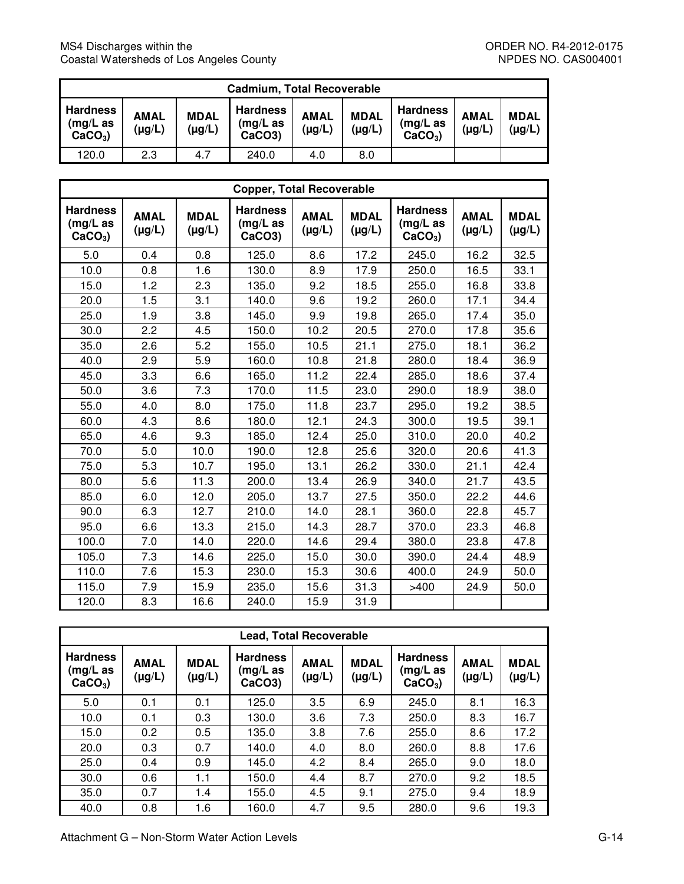| <b>Cadmium, Total Recoverable</b>           |                            |                            |                                                    |                            |                            |                                             |                            |                            |  |
|---------------------------------------------|----------------------------|----------------------------|----------------------------------------------------|----------------------------|----------------------------|---------------------------------------------|----------------------------|----------------------------|--|
| <b>Hardness</b><br>$(mg/L)$ as<br>$CaCO3$ ) | <b>AMAL</b><br>$(\mu g/L)$ | <b>MDAL</b><br>$(\mu g/L)$ | <b>Hardness</b><br>(mg/L as<br>CaCO <sub>3</sub> ) | <b>AMAL</b><br>$(\mu g/L)$ | <b>MDAL</b><br>$(\mu g/L)$ | <b>Hardness</b><br>$(mg/L)$ as<br>$CaCO3$ ) | <b>AMAL</b><br>$(\mu g/L)$ | <b>MDAL</b><br>$(\mu g/L)$ |  |
| 120.0                                       | 2.3                        | 4.7                        | 240.0                                              | 4.0                        | 8.0                        |                                             |                            |                            |  |

| <b>Copper, Total Recoverable</b>            |                            |                            |                                                       |                            |                            |                                             |                            |                            |  |  |
|---------------------------------------------|----------------------------|----------------------------|-------------------------------------------------------|----------------------------|----------------------------|---------------------------------------------|----------------------------|----------------------------|--|--|
| <b>Hardness</b><br>$(mg/L)$ as<br>$CaCO3$ ) | <b>AMAL</b><br>$(\mu g/L)$ | <b>MDAL</b><br>$(\mu g/L)$ | <b>Hardness</b><br>$(mg/L)$ as<br>CaCO <sub>3</sub> ) | <b>AMAL</b><br>$(\mu g/L)$ | <b>MDAL</b><br>$(\mu g/L)$ | <b>Hardness</b><br>$(mg/L)$ as<br>$CaCO3$ ) | <b>AMAL</b><br>$(\mu g/L)$ | <b>MDAL</b><br>$(\mu g/L)$ |  |  |
| 5.0                                         | 0.4                        | 0.8                        | 125.0                                                 | 8.6                        | 17.2                       | 245.0                                       | 16.2                       | 32.5                       |  |  |
| 10.0                                        | 0.8                        | 1.6                        | 130.0                                                 | 8.9                        | 17.9                       | 250.0                                       | 16.5                       | 33.1                       |  |  |
| 15.0                                        | 1.2                        | 2.3                        | 135.0                                                 | 9.2                        | 18.5                       | 255.0                                       | 16.8                       | 33.8                       |  |  |
| 20.0                                        | 1.5                        | 3.1                        | 140.0                                                 | 9.6                        | 19.2                       | 260.0                                       | 17.1                       | 34.4                       |  |  |
| 25.0                                        | 1.9                        | 3.8                        | 145.0                                                 | 9.9                        | 19.8                       | 265.0                                       | 17.4                       | 35.0                       |  |  |
| 30.0                                        | 2.2                        | 4.5                        | 150.0                                                 | 10.2                       | 20.5                       | 270.0                                       | 17.8                       | 35.6                       |  |  |
| 35.0                                        | 2.6                        | 5.2                        | 155.0                                                 | 10.5                       | 21.1                       | 275.0                                       | 18.1                       | 36.2                       |  |  |
| 40.0                                        | 2.9                        | 5.9                        | 160.0                                                 | 10.8                       | 21.8                       | 280.0                                       | 18.4                       | 36.9                       |  |  |
| 45.0                                        | 3.3                        | 6.6                        | 165.0                                                 | 11.2                       | 22.4                       | 285.0                                       | 18.6                       | 37.4                       |  |  |
| 50.0                                        | 3.6                        | 7.3                        | 170.0                                                 | 11.5                       | 23.0                       | 290.0                                       | 18.9                       | 38.0                       |  |  |
| 55.0                                        | 4.0                        | 8.0                        | 175.0                                                 | 11.8                       | 23.7                       | 295.0                                       | 19.2                       | 38.5                       |  |  |
| 60.0                                        | 4.3                        | 8.6                        | 180.0                                                 | 12.1                       | 24.3                       | 300.0                                       | 19.5                       | 39.1                       |  |  |
| 65.0                                        | 4.6                        | 9.3                        | 185.0                                                 | 12.4                       | 25.0                       | 310.0                                       | 20.0                       | 40.2                       |  |  |
| 70.0                                        | 5.0                        | 10.0                       | 190.0                                                 | 12.8                       | 25.6                       | 320.0                                       | 20.6                       | 41.3                       |  |  |
| 75.0                                        | 5.3                        | 10.7                       | 195.0                                                 | 13.1                       | 26.2                       | 330.0                                       | 21.1                       | 42.4                       |  |  |
| 80.0                                        | 5.6                        | 11.3                       | 200.0                                                 | 13.4                       | 26.9                       | 340.0                                       | 21.7                       | 43.5                       |  |  |
| 85.0                                        | 6.0                        | 12.0                       | 205.0                                                 | 13.7                       | 27.5                       | 350.0                                       | 22.2                       | 44.6                       |  |  |
| 90.0                                        | 6.3                        | 12.7                       | 210.0                                                 | 14.0                       | 28.1                       | 360.0                                       | 22.8                       | 45.7                       |  |  |
| 95.0                                        | 6.6                        | 13.3                       | 215.0                                                 | 14.3                       | 28.7                       | 370.0                                       | 23.3                       | 46.8                       |  |  |
| 100.0                                       | 7.0                        | 14.0                       | 220.0                                                 | 14.6                       | 29.4                       | 380.0                                       | 23.8                       | 47.8                       |  |  |
| 105.0                                       | 7.3                        | 14.6                       | 225.0                                                 | 15.0                       | 30.0                       | 390.0                                       | 24.4                       | 48.9                       |  |  |
| 110.0                                       | 7.6                        | 15.3                       | 230.0                                                 | 15.3                       | 30.6                       | 400.0                                       | 24.9                       | 50.0                       |  |  |
| 115.0                                       | 7.9                        | 15.9                       | 235.0                                                 | 15.6                       | 31.3                       | >400                                        | 24.9                       | 50.0                       |  |  |
| 120.0                                       | 8.3                        | 16.6                       | 240.0                                                 | 15.9                       | 31.9                       |                                             |                            |                            |  |  |

| <b>Lead, Total Recoverable</b>           |                            |                            |                                       |                            |                            |                                          |                            |                            |  |  |
|------------------------------------------|----------------------------|----------------------------|---------------------------------------|----------------------------|----------------------------|------------------------------------------|----------------------------|----------------------------|--|--|
| <b>Hardness</b><br>(mg/L as<br>$CaCO3$ ) | <b>AMAL</b><br>$(\mu g/L)$ | <b>MDAL</b><br>$(\mu g/L)$ | <b>Hardness</b><br>(mg/L as<br>CaCO3) | <b>AMAL</b><br>$(\mu g/L)$ | <b>MDAL</b><br>$(\mu g/L)$ | <b>Hardness</b><br>(mg/L as<br>$CaCO3$ ) | <b>AMAL</b><br>$(\mu g/L)$ | <b>MDAL</b><br>$(\mu g/L)$ |  |  |
| 5.0                                      | 0.1                        | 0.1                        | 125.0                                 | 3.5                        | 6.9                        | 245.0                                    | 8.1                        | 16.3                       |  |  |
| 10.0                                     | 0.1                        | 0.3                        | 130.0                                 | 3.6                        | 7.3                        | 250.0                                    | 8.3                        | 16.7                       |  |  |
| 15.0                                     | 0.2                        | 0.5                        | 135.0                                 | 3.8                        | 7.6                        | 255.0                                    | 8.6                        | 17.2                       |  |  |
| 20.0                                     | 0.3                        | 0.7                        | 140.0                                 | 4.0                        | 8.0                        | 260.0                                    | 8.8                        | 17.6                       |  |  |
| 25.0                                     | 0.4                        | 0.9                        | 145.0                                 | 4.2                        | 8.4                        | 265.0                                    | 9.0                        | 18.0                       |  |  |
| 30.0                                     | 0.6                        | 1.1                        | 150.0                                 | 4.4                        | 8.7                        | 270.0                                    | 9.2                        | 18.5                       |  |  |
| 35.0                                     | 0.7                        | 1.4                        | 155.0                                 | 4.5                        | 9.1                        | 275.0                                    | 9.4                        | 18.9                       |  |  |
| 40.0                                     | 0.8                        | 1.6                        | 160.0                                 | 4.7                        | 9.5                        | 280.0                                    | 9.6                        | 19.3                       |  |  |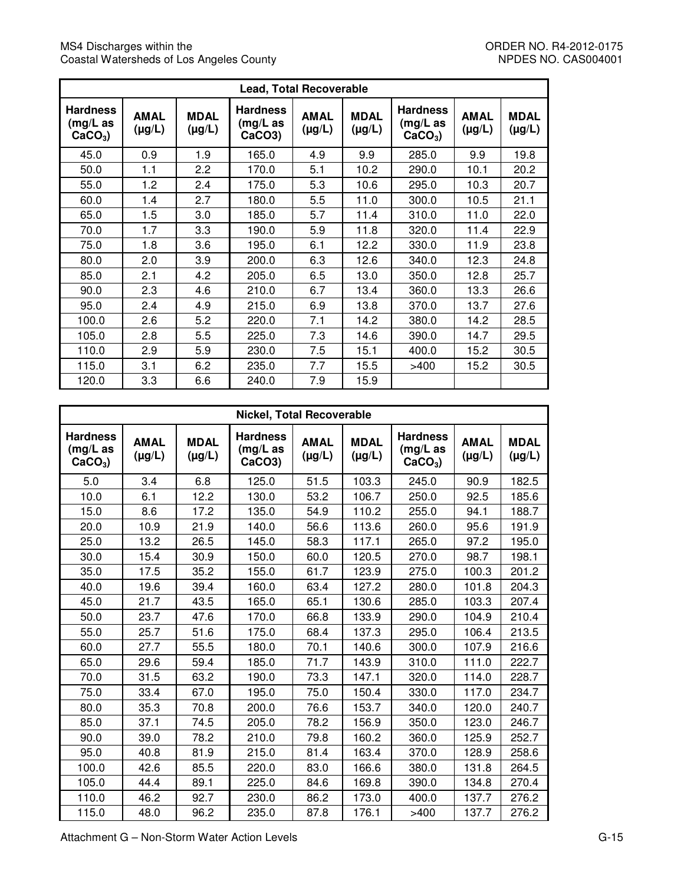$\mathcal{L}_{\mathcal{A}}$ 

| <b>Lead, Total Recoverable</b>           |                            |                            |                                                       |                            |                            |                                             |                            |                            |  |  |
|------------------------------------------|----------------------------|----------------------------|-------------------------------------------------------|----------------------------|----------------------------|---------------------------------------------|----------------------------|----------------------------|--|--|
| <b>Hardness</b><br>(mg/L as<br>$CaCO3$ ) | <b>AMAL</b><br>$(\mu g/L)$ | <b>MDAL</b><br>$(\mu g/L)$ | <b>Hardness</b><br>$(mg/L)$ as<br>CaCO <sub>3</sub> ) | <b>AMAL</b><br>$(\mu g/L)$ | <b>MDAL</b><br>$(\mu g/L)$ | <b>Hardness</b><br>$(mg/L)$ as<br>$CaCO3$ ) | <b>AMAL</b><br>$(\mu g/L)$ | <b>MDAL</b><br>$(\mu g/L)$ |  |  |
| 45.0                                     | 0.9                        | 1.9                        | 165.0                                                 | 4.9                        | 9.9                        | 285.0                                       | 9.9                        | 19.8                       |  |  |
| 50.0                                     | 1.1                        | 2.2                        | 170.0                                                 | 5.1                        | 10.2                       | 290.0                                       | 10.1                       | 20.2                       |  |  |
| 55.0                                     | 1.2                        | 2.4                        | 175.0                                                 | 5.3                        | 10.6                       | 295.0                                       | 10.3                       | 20.7                       |  |  |
| 60.0                                     | 1.4                        | 2.7                        | 180.0                                                 | 5.5                        | 11.0                       | 300.0                                       | 10.5                       | 21.1                       |  |  |
| 65.0                                     | 1.5                        | 3.0                        | 185.0                                                 | 5.7                        | 11.4                       | 310.0                                       | 11.0                       | 22.0                       |  |  |
| 70.0                                     | 1.7                        | 3.3                        | 190.0                                                 | 5.9                        | 11.8                       | 320.0                                       | 11.4                       | 22.9                       |  |  |
| 75.0                                     | 1.8                        | 3.6                        | 195.0                                                 | 6.1                        | 12.2                       | 330.0                                       | 11.9                       | 23.8                       |  |  |
| 80.0                                     | 2.0                        | 3.9                        | 200.0                                                 | 6.3                        | 12.6                       | 340.0                                       | 12.3                       | 24.8                       |  |  |
| 85.0                                     | 2.1                        | 4.2                        | 205.0                                                 | 6.5                        | 13.0                       | 350.0                                       | 12.8                       | 25.7                       |  |  |
| 90.0                                     | 2.3                        | 4.6                        | 210.0                                                 | 6.7                        | 13.4                       | 360.0                                       | 13.3                       | 26.6                       |  |  |
| 95.0                                     | 2.4                        | 4.9                        | 215.0                                                 | 6.9                        | 13.8                       | 370.0                                       | 13.7                       | 27.6                       |  |  |
| 100.0                                    | 2.6                        | 5.2                        | 220.0                                                 | 7.1                        | 14.2                       | 380.0                                       | 14.2                       | 28.5                       |  |  |
| 105.0                                    | 2.8                        | 5.5                        | 225.0                                                 | 7.3                        | 14.6                       | 390.0                                       | 14.7                       | 29.5                       |  |  |
| 110.0                                    | 2.9                        | 5.9                        | 230.0                                                 | 7.5                        | 15.1                       | 400.0                                       | 15.2                       | 30.5                       |  |  |
| 115.0                                    | 3.1                        | 6.2                        | 235.0                                                 | 7.7                        | 15.5                       | >400                                        | 15.2                       | 30.5                       |  |  |
| 120.0                                    | 3.3                        | 6.6                        | 240.0                                                 | 7.9                        | 15.9                       |                                             |                            |                            |  |  |

| <b>Nickel, Total Recoverable</b>            |                            |                            |                                       |                            |                            |                                             |                            |                            |  |  |
|---------------------------------------------|----------------------------|----------------------------|---------------------------------------|----------------------------|----------------------------|---------------------------------------------|----------------------------|----------------------------|--|--|
| <b>Hardness</b><br>$(mg/L)$ as<br>$CaCO3$ ) | <b>AMAL</b><br>$(\mu g/L)$ | <b>MDAL</b><br>$(\mu g/L)$ | <b>Hardness</b><br>(mg/L as<br>CaCO3) | <b>AMAL</b><br>$(\mu g/L)$ | <b>MDAL</b><br>$(\mu g/L)$ | <b>Hardness</b><br>$(mg/L)$ as<br>$CaCO3$ ) | <b>AMAL</b><br>$(\mu g/L)$ | <b>MDAL</b><br>$(\mu g/L)$ |  |  |
| 5.0                                         | 3.4                        | 6.8                        | 125.0                                 | 51.5                       | 103.3                      | 245.0                                       | 90.9                       | 182.5                      |  |  |
| 10.0                                        | 6.1                        | 12.2                       | 130.0                                 | 53.2                       | 106.7                      | 250.0                                       | 92.5                       | 185.6                      |  |  |
| 15.0                                        | 8.6                        | 17.2                       | 135.0                                 | 54.9                       | 110.2                      | 255.0                                       | 94.1                       | 188.7                      |  |  |
| 20.0                                        | 10.9                       | 21.9                       | 140.0                                 | 56.6                       | 113.6                      | 260.0                                       | 95.6                       | 191.9                      |  |  |
| 25.0                                        | 13.2                       | 26.5                       | 145.0                                 | 58.3                       | 117.1                      | 265.0                                       | 97.2                       | 195.0                      |  |  |
| 30.0                                        | 15.4                       | 30.9                       | 150.0                                 | 60.0                       | 120.5                      | 270.0                                       | 98.7                       | 198.1                      |  |  |
| 35.0                                        | 17.5                       | 35.2                       | 155.0                                 | 61.7                       | 123.9                      | 275.0                                       | 100.3                      | 201.2                      |  |  |
| 40.0                                        | 19.6                       | 39.4                       | 160.0                                 | 63.4                       | 127.2                      | 280.0                                       | 101.8                      | 204.3                      |  |  |
| 45.0                                        | 21.7                       | 43.5                       | 165.0                                 | 65.1                       | 130.6                      | 285.0                                       | 103.3                      | 207.4                      |  |  |
| 50.0                                        | 23.7                       | 47.6                       | 170.0                                 | 66.8                       | 133.9                      | 290.0                                       | 104.9                      | 210.4                      |  |  |
| 55.0                                        | 25.7                       | 51.6                       | 175.0                                 | 68.4                       | 137.3                      | 295.0                                       | 106.4                      | 213.5                      |  |  |
| 60.0                                        | 27.7                       | 55.5                       | 180.0                                 | 70.1                       | 140.6                      | 300.0                                       | 107.9                      | 216.6                      |  |  |
| 65.0                                        | 29.6                       | 59.4                       | 185.0                                 | 71.7                       | 143.9                      | 310.0                                       | 111.0                      | 222.7                      |  |  |
| 70.0                                        | 31.5                       | 63.2                       | 190.0                                 | 73.3                       | 147.1                      | 320.0                                       | 114.0                      | 228.7                      |  |  |
| 75.0                                        | 33.4                       | 67.0                       | 195.0                                 | 75.0                       | 150.4                      | 330.0                                       | 117.0                      | 234.7                      |  |  |
| 80.0                                        | 35.3                       | 70.8                       | 200.0                                 | 76.6                       | 153.7                      | 340.0                                       | 120.0                      | 240.7                      |  |  |
| 85.0                                        | 37.1                       | 74.5                       | 205.0                                 | 78.2                       | 156.9                      | 350.0                                       | 123.0                      | 246.7                      |  |  |
| 90.0                                        | 39.0                       | 78.2                       | 210.0                                 | 79.8                       | 160.2                      | 360.0                                       | 125.9                      | 252.7                      |  |  |
| 95.0                                        | 40.8                       | 81.9                       | 215.0                                 | 81.4                       | 163.4                      | 370.0                                       | 128.9                      | 258.6                      |  |  |
| 100.0                                       | 42.6                       | 85.5                       | 220.0                                 | 83.0                       | 166.6                      | 380.0                                       | 131.8                      | 264.5                      |  |  |
| 105.0                                       | 44.4                       | 89.1                       | 225.0                                 | 84.6                       | 169.8                      | 390.0                                       | 134.8                      | 270.4                      |  |  |
| 110.0                                       | 46.2                       | 92.7                       | 230.0                                 | 86.2                       | 173.0                      | 400.0                                       | 137.7                      | 276.2                      |  |  |
| 115.0                                       | 48.0                       | 96.2                       | 235.0                                 | 87.8                       | 176.1                      | >400                                        | 137.7                      | 276.2                      |  |  |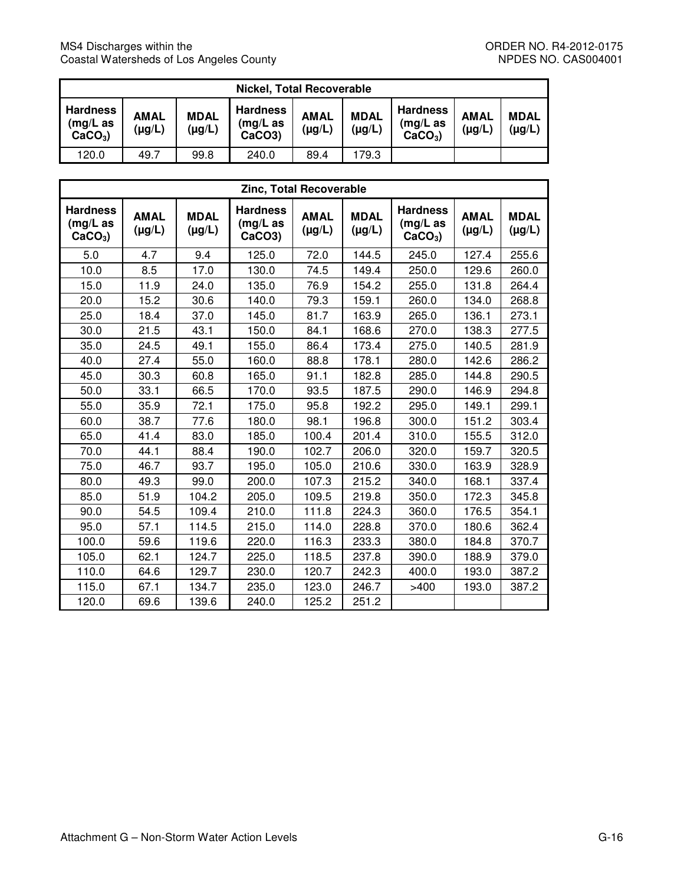| <b>Nickel, Total Recoverable</b>            |                            |                            |                                       |                            |                            |                                             |                            |                            |  |
|---------------------------------------------|----------------------------|----------------------------|---------------------------------------|----------------------------|----------------------------|---------------------------------------------|----------------------------|----------------------------|--|
| <b>Hardness</b><br>$(mg/L)$ as<br>$CaCO3$ ) | <b>AMAL</b><br>$(\mu g/L)$ | <b>MDAL</b><br>$(\mu g/L)$ | <b>Hardness</b><br>(mg/L as<br>CaCO3) | <b>AMAL</b><br>$(\mu g/L)$ | <b>MDAL</b><br>$(\mu g/L)$ | <b>Hardness</b><br>$(mg/L)$ as<br>$CaCO3$ ) | <b>AMAL</b><br>$(\mu g/L)$ | <b>MDAL</b><br>$(\mu g/L)$ |  |
| 120.0                                       | 49.7                       | 99.8                       | 240.0                                 | 89.4                       | 179.3                      |                                             |                            |                            |  |

| Zinc, Total Recoverable                  |                            |                            |                                          |                            |                            |                                             |                            |                            |  |  |
|------------------------------------------|----------------------------|----------------------------|------------------------------------------|----------------------------|----------------------------|---------------------------------------------|----------------------------|----------------------------|--|--|
| <b>Hardness</b><br>(mg/L as<br>$CaCO3$ ) | <b>AMAL</b><br>$(\mu g/L)$ | <b>MDAL</b><br>$(\mu g/L)$ | <b>Hardness</b><br>$(mg/L)$ as<br>CaCO3) | <b>AMAL</b><br>$(\mu g/L)$ | <b>MDAL</b><br>$(\mu g/L)$ | <b>Hardness</b><br>$(mg/L)$ as<br>$CaCO3$ ) | <b>AMAL</b><br>$(\mu g/L)$ | <b>MDAL</b><br>$(\mu g/L)$ |  |  |
| 5.0                                      | 4.7                        | 9.4                        | 125.0                                    | 72.0                       | 144.5                      | 245.0                                       | 127.4                      | 255.6                      |  |  |
| 10.0                                     | 8.5                        | 17.0                       | 130.0                                    | 74.5                       | 149.4                      | 250.0                                       | 129.6                      | 260.0                      |  |  |
| 15.0                                     | 11.9                       | 24.0                       | 135.0                                    | 76.9                       | 154.2                      | 255.0                                       | 131.8                      | 264.4                      |  |  |
| 20.0                                     | 15.2                       | 30.6                       | 140.0                                    | 79.3                       | 159.1                      | 260.0                                       | 134.0                      | 268.8                      |  |  |
| 25.0                                     | 18.4                       | 37.0                       | 145.0                                    | 81.7                       | 163.9                      | 265.0                                       | 136.1                      | 273.1                      |  |  |
| 30.0                                     | 21.5                       | 43.1                       | 150.0                                    | 84.1                       | 168.6                      | 270.0                                       | 138.3                      | 277.5                      |  |  |
| 35.0                                     | 24.5                       | 49.1                       | 155.0                                    | 86.4                       | 173.4                      | 275.0                                       | 140.5                      | 281.9                      |  |  |
| 40.0                                     | 27.4                       | 55.0                       | 160.0                                    | 88.8                       | 178.1                      | 280.0                                       | 142.6                      | 286.2                      |  |  |
| 45.0                                     | 30.3                       | 60.8                       | 165.0                                    | 91.1                       | 182.8                      | 285.0                                       | 144.8                      | 290.5                      |  |  |
| 50.0                                     | 33.1                       | 66.5                       | 170.0                                    | 93.5                       | 187.5                      | 290.0                                       | 146.9                      | 294.8                      |  |  |
| 55.0                                     | 35.9                       | 72.1                       | 175.0                                    | 95.8                       | 192.2                      | 295.0                                       | 149.1                      | 299.1                      |  |  |
| 60.0                                     | 38.7                       | 77.6                       | 180.0                                    | 98.1                       | 196.8                      | 300.0                                       | 151.2                      | 303.4                      |  |  |
| 65.0                                     | 41.4                       | 83.0                       | 185.0                                    | 100.4                      | 201.4                      | 310.0                                       | 155.5                      | 312.0                      |  |  |
| 70.0                                     | 44.1                       | 88.4                       | 190.0                                    | 102.7                      | 206.0                      | 320.0                                       | 159.7                      | 320.5                      |  |  |
| 75.0                                     | 46.7                       | 93.7                       | 195.0                                    | 105.0                      | 210.6                      | 330.0                                       | 163.9                      | 328.9                      |  |  |
| 80.0                                     | 49.3                       | 99.0                       | 200.0                                    | 107.3                      | 215.2                      | 340.0                                       | 168.1                      | 337.4                      |  |  |
| 85.0                                     | 51.9                       | 104.2                      | 205.0                                    | 109.5                      | 219.8                      | 350.0                                       | 172.3                      | 345.8                      |  |  |
| 90.0                                     | 54.5                       | 109.4                      | 210.0                                    | 111.8                      | 224.3                      | 360.0                                       | 176.5                      | 354.1                      |  |  |
| 95.0                                     | 57.1                       | 114.5                      | 215.0                                    | 114.0                      | 228.8                      | 370.0                                       | 180.6                      | 362.4                      |  |  |
| 100.0                                    | 59.6                       | 119.6                      | 220.0                                    | 116.3                      | 233.3                      | 380.0                                       | 184.8                      | 370.7                      |  |  |
| 105.0                                    | 62.1                       | 124.7                      | 225.0                                    | 118.5                      | 237.8                      | 390.0                                       | 188.9                      | 379.0                      |  |  |
| 110.0                                    | 64.6                       | 129.7                      | 230.0                                    | 120.7                      | 242.3                      | 400.0                                       | 193.0                      | 387.2                      |  |  |
| 115.0                                    | 67.1                       | 134.7                      | 235.0                                    | 123.0                      | 246.7                      | >400                                        | 193.0                      | 387.2                      |  |  |
| 120.0                                    | 69.6                       | 139.6                      | 240.0                                    | 125.2                      | 251.2                      |                                             |                            |                            |  |  |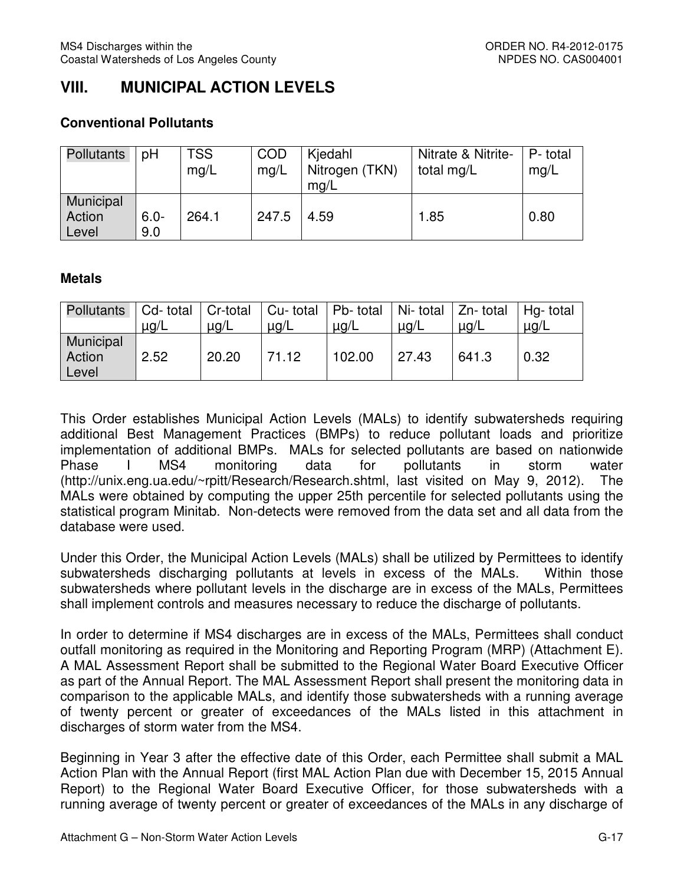# **VIII. MUNICIPAL ACTION LEVELS**

#### **Conventional Pollutants**

| Pollutants                   | pH             | <b>TSS</b><br>mq/L | <b>COD</b><br>mq/L | Kjedahl<br>Nitrogen (TKN)<br>mg/L | Nitrate & Nitrite-<br>total mg/L | P-total<br>mq/L |
|------------------------------|----------------|--------------------|--------------------|-----------------------------------|----------------------------------|-----------------|
| Municipal<br>Action<br>Level | $6.0 -$<br>9.0 | 264.1              | 247.5              | 4.59                              | 1.85                             | 0.80            |

#### **Metals**

| Pollutants   Cd- total   Cr-total   Cu- total   Pb- total   Ni- total   Zn- total   Hg- total |           |           |           |           |           |           |           |
|-----------------------------------------------------------------------------------------------|-----------|-----------|-----------|-----------|-----------|-----------|-----------|
|                                                                                               | $\mu$ g/L | $\mu$ g/L | $\mu$ g/L | $\mu$ g/L | $\mu$ g/L | $\mu$ g/L | $\mu$ g/L |
| Municipal<br>Action<br>Level                                                                  | 2.52      | 20.20     | 71.12     | 102.00    | 27.43     | 641.3     | 0.32      |

 This Order establishes Municipal Action Levels (MALs) to identify subwatersheds requiring additional Best Management Practices (BMPs) to reduce pollutant loads and prioritize implementation of additional BMPs. MALs for selected pollutants are based on nationwide Phase (<http://unix.eng.ua.edu/~rpitt/Research/Research.shtml>, last visited on May 9, 2012). The MALs were obtained by computing the upper 25th percentile for selected pollutants using the statistical program Minitab. Non-detects were removed from the data set and all data from the database were used. Phase I MS4 monitoring data for pollutants in storm water

 Under this Order, the Municipal Action Levels (MALs) shall be utilized by Permittees to identify subwatersheds discharging pollutants at levels in excess of the MALs. Within those subwatersheds where pollutant levels in the discharge are in excess of the MALs, Permittees shall implement controls and measures necessary to reduce the discharge of pollutants.

 In order to determine if MS4 discharges are in excess of the MALs, Permittees shall conduct outfall monitoring as required in the Monitoring and Reporting Program (MRP) (Attachment E). A MAL Assessment Report shall be submitted to the Regional Water Board Executive Officer as part of the Annual Report. The MAL Assessment Report shall present the monitoring data in comparison to the applicable MALs, and identify those subwatersheds with a running average of twenty percent or greater of exceedances of the MALs listed in this attachment in discharges of storm water from the MS4.

 Beginning in Year 3 after the effective date of this Order, each Permittee shall submit a MAL Action Plan with the Annual Report (first MAL Action Plan due with December 15, 2015 Annual Report) to the Regional Water Board Executive Officer, for those subwatersheds with a running average of twenty percent or greater of exceedances of the MALs in any discharge of